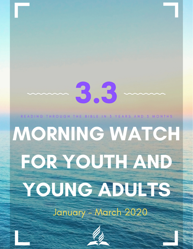# 3.3

READING THROUGH THE BIBLE IN 3 YEARS AND 3 MONTHS

## MORNING WATCH **FOR YOUTH AND** YOUNG ADUITS January - March 2020

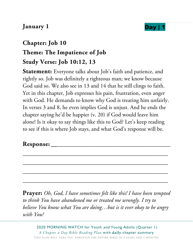#### **January 1 Day**

## **Chapter: Job 10 Theme: The Impatience of Job Study Verse: Job 10:12, 13**

**Statement:** Everyone talks about Job's faith and patience, and rightly so. Job was definitely a righteous man; we know because God said so. We also see in 13 and 14 that he still clings to faith. Yet in this chapter, Job expresses his pain, frustration, even anger with God. He demands to know why God is treating him unfairly. In verses 3 and 8, he even implies God is unjust. And he ends the chapter saying he'd be happier (v. 20) if God would leave him alone! Is it okay to say things like this to God? Let's keep reading to see if this is where Job stays, and what God's response will be.

\_\_\_\_\_\_\_\_\_\_\_\_\_\_\_\_\_\_\_\_\_\_\_\_\_\_\_\_\_\_\_\_\_\_\_\_\_\_\_\_\_\_\_\_\_\_\_\_\_\_\_\_\_\_\_\_\_\_\_

\_\_\_\_\_\_\_\_\_\_\_\_\_\_\_\_\_\_\_\_\_\_\_\_\_\_\_\_\_\_\_\_\_\_\_\_\_\_\_\_\_\_\_\_\_\_\_\_\_\_\_\_\_\_\_\_\_\_\_

\_\_\_\_\_\_\_\_\_\_\_\_\_\_\_\_\_\_\_\_\_\_\_\_\_\_\_\_\_\_\_\_\_\_\_\_\_\_\_\_\_\_\_\_\_\_\_\_\_\_\_\_\_\_\_\_\_\_\_

\_\_\_\_\_\_\_\_\_\_\_\_\_\_\_\_\_\_\_\_\_\_\_\_\_\_\_\_\_\_\_\_\_\_\_\_\_\_\_\_\_\_\_\_\_\_\_\_\_\_\_\_\_\_\_\_\_\_\_

#### **Response:** \_\_\_\_\_\_\_\_\_\_\_\_\_\_\_\_\_\_\_\_\_\_\_\_\_\_\_\_\_\_\_\_\_\_\_\_\_\_\_\_\_\_\_\_\_\_\_\_

**Prayer:** *Oh, God, I have sometimes felt like this! I have been tempted to think You have abandoned me or treated me wrongly. I try to believe You know what You are doing…but is it ever okay to be angry with You?*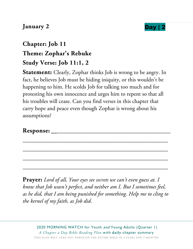#### **January 2 Day** | 2



## **Chapter: Job 11 Theme: Zophar's Rebuke Study Verse: Job 11:1, 2**

**Statement:** Clearly, Zophar thinks Job is wrong to be angry. In fact, he believes Job must be hiding iniquity, or this wouldn't be happening to him. He scolds Job for talking too much and for protesting his own innocence and urges him to repent so that all his troubles will cease. Can you find verses in this chapter that carry hope and peace even though Zophar is wrong about his assumptions?

\_\_\_\_\_\_\_\_\_\_\_\_\_\_\_\_\_\_\_\_\_\_\_\_\_\_\_\_\_\_\_\_\_\_\_\_\_\_\_\_\_\_\_\_\_\_\_\_\_\_\_\_\_\_\_\_\_\_\_

\_\_\_\_\_\_\_\_\_\_\_\_\_\_\_\_\_\_\_\_\_\_\_\_\_\_\_\_\_\_\_\_\_\_\_\_\_\_\_\_\_\_\_\_\_\_\_\_\_\_\_\_\_\_\_\_\_\_\_

\_\_\_\_\_\_\_\_\_\_\_\_\_\_\_\_\_\_\_\_\_\_\_\_\_\_\_\_\_\_\_\_\_\_\_\_\_\_\_\_\_\_\_\_\_\_\_\_\_\_\_\_\_\_\_\_\_\_\_

\_\_\_\_\_\_\_\_\_\_\_\_\_\_\_\_\_\_\_\_\_\_\_\_\_\_\_\_\_\_\_\_\_\_\_\_\_\_\_\_\_\_\_\_\_\_\_\_\_\_\_\_\_\_\_\_\_\_\_

#### **Response:** \_\_\_\_\_\_\_\_\_\_\_\_\_\_\_\_\_\_\_\_\_\_\_\_\_\_\_\_\_\_\_\_\_\_\_\_\_\_\_\_\_\_\_\_\_\_\_\_

**Prayer:** *Lord of all, Your eyes see secrets we can't even guess at. I know that Job wasn't perfect, and neither am I. But I sometimes feel, as he did, that I am being punished for something. Help me to cling to the kernel of my faith, as Job did.*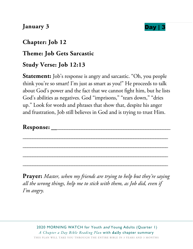#### **January 3 Day** | 3

#### **Chapter: Job 12**

#### **Theme: Job Gets Sarcastic**

#### **Study Verse: Job 12:13**

**Statement:** Job's response is angry and sarcastic. "Oh, you people think you're so smart! I'm just as smart as you!" He proceeds to talk about God's power and the fact that we cannot fight him, but he lists God's abilities as negatives. God "imprisons," "tears down," "dries up." Look for words and phrases that show that, despite his anger and frustration, Job still believes in God and is trying to trust Him.

\_\_\_\_\_\_\_\_\_\_\_\_\_\_\_\_\_\_\_\_\_\_\_\_\_\_\_\_\_\_\_\_\_\_\_\_\_\_\_\_\_\_\_\_\_\_\_\_\_\_\_\_\_\_\_\_\_\_\_

\_\_\_\_\_\_\_\_\_\_\_\_\_\_\_\_\_\_\_\_\_\_\_\_\_\_\_\_\_\_\_\_\_\_\_\_\_\_\_\_\_\_\_\_\_\_\_\_\_\_\_\_\_\_\_\_\_\_\_

\_\_\_\_\_\_\_\_\_\_\_\_\_\_\_\_\_\_\_\_\_\_\_\_\_\_\_\_\_\_\_\_\_\_\_\_\_\_\_\_\_\_\_\_\_\_\_\_\_\_\_\_\_\_\_\_\_\_\_

\_\_\_\_\_\_\_\_\_\_\_\_\_\_\_\_\_\_\_\_\_\_\_\_\_\_\_\_\_\_\_\_\_\_\_\_\_\_\_\_\_\_\_\_\_\_\_\_\_\_\_\_\_\_\_\_\_\_\_

#### **Response:** \_\_\_\_\_\_\_\_\_\_\_\_\_\_\_\_\_\_\_\_\_\_\_\_\_\_\_\_\_\_\_\_\_\_\_\_\_\_\_\_\_\_\_\_\_\_\_\_

**Prayer:** *Master, when my friends are trying to help but they're saying all the wrong things, help me to stick with them, as Job did, even if I'm angry.* 

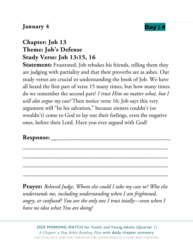#### **January 4 Day Day**

#### **Chapter: Job 13 Theme: Job's Defense Study Verse: Job 13:15, 16**

**Statement:** Frustrated, Job rebukes his friends, telling them they are judging with partiality and that their proverbs are as ashes. Our study verses are crucial to understanding the book of Job. We have all heard the first part of verse 15 many times, but how many times do we remember the second part? *I trust Him no matter what, but I will also argue my case!* Then notice verse 16: Job says this very argument will "be his salvation," because sinners couldn't (or wouldn't) come to God to lay out their feelings, even the negative ones, before their Lord. Have you ever argued with God?

#### **Response:** \_\_\_\_\_\_\_\_\_\_\_\_\_\_\_\_\_\_\_\_\_\_\_\_\_\_\_\_\_\_\_\_\_\_\_\_\_\_\_\_\_\_\_\_\_\_\_\_

**Prayer:** *Beloved Judge, Whom else could I take my case to? Who else understands me, including understanding when I am frightened, angry, or confused? You are the only one I trust totally—even when I have no idea what You are doing!* 

\_\_\_\_\_\_\_\_\_\_\_\_\_\_\_\_\_\_\_\_\_\_\_\_\_\_\_\_\_\_\_\_\_\_\_\_\_\_\_\_\_\_\_\_\_\_\_\_\_\_\_\_\_\_\_\_\_\_\_

\_\_\_\_\_\_\_\_\_\_\_\_\_\_\_\_\_\_\_\_\_\_\_\_\_\_\_\_\_\_\_\_\_\_\_\_\_\_\_\_\_\_\_\_\_\_\_\_\_\_\_\_\_\_\_\_\_\_\_

\_\_\_\_\_\_\_\_\_\_\_\_\_\_\_\_\_\_\_\_\_\_\_\_\_\_\_\_\_\_\_\_\_\_\_\_\_\_\_\_\_\_\_\_\_\_\_\_\_\_\_\_\_\_\_\_\_\_\_

\_\_\_\_\_\_\_\_\_\_\_\_\_\_\_\_\_\_\_\_\_\_\_\_\_\_\_\_\_\_\_\_\_\_\_\_\_\_\_\_\_\_\_\_\_\_\_\_\_\_\_\_\_\_\_\_\_\_\_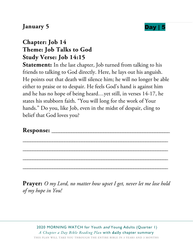#### **January 5 Day | 5 <b>Day | 5 Day | 5 Day | 5 Day | 5 Day | 5 EXECUTE:**



#### **Chapter: Job 14 Theme: Job Talks to God Study Verse: Job 14:15**

**Statement:** In the last chapter, Job turned from talking to his friends to talking to God directly. Here, he lays out his anguish. He points out that death will silence him; he will no longer be able either to praise or to despair. He feels God's hand is against him and he has no hope of being heard…yet still, in verses 14-17, he states his stubborn faith. "You will long for the work of Your hands." Do you, like Job, even in the midst of despair, cling to belief that God loves you?

\_\_\_\_\_\_\_\_\_\_\_\_\_\_\_\_\_\_\_\_\_\_\_\_\_\_\_\_\_\_\_\_\_\_\_\_\_\_\_\_\_\_\_\_\_\_\_\_\_\_\_\_\_\_\_\_\_\_\_

\_\_\_\_\_\_\_\_\_\_\_\_\_\_\_\_\_\_\_\_\_\_\_\_\_\_\_\_\_\_\_\_\_\_\_\_\_\_\_\_\_\_\_\_\_\_\_\_\_\_\_\_\_\_\_\_\_\_\_

\_\_\_\_\_\_\_\_\_\_\_\_\_\_\_\_\_\_\_\_\_\_\_\_\_\_\_\_\_\_\_\_\_\_\_\_\_\_\_\_\_\_\_\_\_\_\_\_\_\_\_\_\_\_\_\_\_\_\_

\_\_\_\_\_\_\_\_\_\_\_\_\_\_\_\_\_\_\_\_\_\_\_\_\_\_\_\_\_\_\_\_\_\_\_\_\_\_\_\_\_\_\_\_\_\_\_\_\_\_\_\_\_\_\_\_\_\_\_

#### **Response:** \_\_\_\_\_\_\_\_\_\_\_\_\_\_\_\_\_\_\_\_\_\_\_\_\_\_\_\_\_\_\_\_\_\_\_\_\_\_\_\_\_\_\_\_\_\_\_\_

**Prayer:** *O my Lord, no matter how upset I get, never let me lose hold of my hope in You!*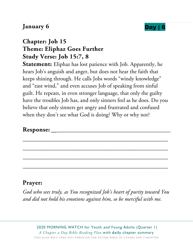#### **January 6 Day | 6 <b>Day** | 6 **Day** | 6 **Day** | 6 **Day** | 6 **Day** | 6 **Day** | 6 **Day** | 6 **Day** | 6 **Day** | 6 **Day** | 6 **Day** | 6 **Day** | 6 **Day** | 6 **Day** | 6 **Day** | 7 **Day** | 7 **Day** | 7 **Day** | 7 **Day** | 7 **Day** | 7



#### **Chapter: Job 15 Theme: Eliphaz Goes Further Study Verse: Job 15:7, 8**

**Statement:** Eliphaz has lost patience with Job. Apparently, he hears Job's anguish and anger, but does not hear the faith that keeps shining through. He calls Jobs words "windy knowledge" and "east wind," and even accuses Job of speaking from sinful guilt. He repeats, in even stronger language, that only the guilty have the troubles Job has, and only sinners feel as he does. Do you believe that only sinners get angry and frustrated and confused when they don't see what God is doing? Why or why not?

\_\_\_\_\_\_\_\_\_\_\_\_\_\_\_\_\_\_\_\_\_\_\_\_\_\_\_\_\_\_\_\_\_\_\_\_\_\_\_\_\_\_\_\_\_\_\_\_\_\_\_\_\_\_\_\_\_\_\_

\_\_\_\_\_\_\_\_\_\_\_\_\_\_\_\_\_\_\_\_\_\_\_\_\_\_\_\_\_\_\_\_\_\_\_\_\_\_\_\_\_\_\_\_\_\_\_\_\_\_\_\_\_\_\_\_\_\_\_

\_\_\_\_\_\_\_\_\_\_\_\_\_\_\_\_\_\_\_\_\_\_\_\_\_\_\_\_\_\_\_\_\_\_\_\_\_\_\_\_\_\_\_\_\_\_\_\_\_\_\_\_\_\_\_\_\_\_\_

\_\_\_\_\_\_\_\_\_\_\_\_\_\_\_\_\_\_\_\_\_\_\_\_\_\_\_\_\_\_\_\_\_\_\_\_\_\_\_\_\_\_\_\_\_\_\_\_\_\_\_\_\_\_\_\_\_\_\_

#### **Response:** \_\_\_\_\_\_\_\_\_\_\_\_\_\_\_\_\_\_\_\_\_\_\_\_\_\_\_\_\_\_\_\_\_\_\_\_\_\_\_\_\_\_\_\_\_\_\_\_

#### **Prayer:**

*God who sees truly, as You recognized Job's heart of purity toward You and did not hold his emotions against him, so be merciful with me.*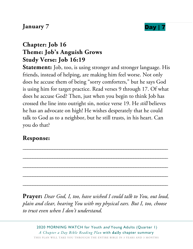#### **January 7 Day**  $\blacksquare$



#### **Chapter: Job 16 Theme: Job's Anguish Grows Study Verse: Job 16:19**

**Statement:** Job, too, is using stronger and stronger language. His friends, instead of helping, are making him feel worse. Not only does he accuse them of being "sorry comforters," but he says God is using him for target practice. Read verses 9 through 17. Of what does he accuse God? Then, just when you begin to think Job has crossed the line into outright sin, notice verse 19. He *still* believes he has an advocate on high! He wishes desperately that he could talk to God as to a neighbor, but he still trusts, in his heart. Can you do that?

#### **Response:**

**Prayer:** *Dear God, I, too, have wished I could talk to You, out loud, plain and clear, hearing You with my physical ears. But I, too, choose to trust even when I don't understand.* 

\_\_\_\_\_\_\_\_\_\_\_\_\_\_\_\_\_\_\_\_\_\_\_\_\_\_\_\_\_\_\_\_\_\_\_\_\_\_\_\_\_\_\_\_\_\_\_\_\_\_\_\_\_\_\_\_\_\_\_

\_\_\_\_\_\_\_\_\_\_\_\_\_\_\_\_\_\_\_\_\_\_\_\_\_\_\_\_\_\_\_\_\_\_\_\_\_\_\_\_\_\_\_\_\_\_\_\_\_\_\_\_\_\_\_\_\_\_\_

\_\_\_\_\_\_\_\_\_\_\_\_\_\_\_\_\_\_\_\_\_\_\_\_\_\_\_\_\_\_\_\_\_\_\_\_\_\_\_\_\_\_\_\_\_\_\_\_\_\_\_\_\_\_\_\_\_\_\_

\_\_\_\_\_\_\_\_\_\_\_\_\_\_\_\_\_\_\_\_\_\_\_\_\_\_\_\_\_\_\_\_\_\_\_\_\_\_\_\_\_\_\_\_\_\_\_\_\_\_\_\_\_\_\_\_\_\_\_

\_\_\_\_\_\_\_\_\_\_\_\_\_\_\_\_\_\_\_\_\_\_\_\_\_\_\_\_\_\_\_\_\_\_\_\_\_\_\_\_\_\_\_\_\_\_\_\_\_\_\_\_\_\_\_\_\_\_\_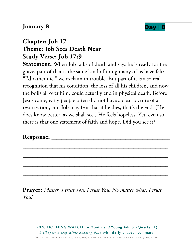#### **January 8 Day | 8 and 10 and 10 and 10 and 10 and 10 and 10 and 10 and 10 and 10 and 10 and 10 and 10 and 10 and 10 and 10 and 10 and 10 and 10 and 10 and 10 and 10 and 10 and 10 and 10 and 10 and 10 and 10 and 10 and 1**



#### **Chapter: Job 17 Theme: Job Sees Death Near Study Verse: Job 17:9**

**Statement:** When Job talks of death and says he is ready for the grave, part of that is the same kind of thing many of us have felt: "I'd rather die!" we exclaim in trouble. But part of it is also real recognition that his condition, the loss of all his children, and now the boils all over him, could actually end in physical death. Before Jesus came, early people often did not have a clear picture of a resurrection, and Job may fear that if he dies, that's the end. (He does know better, as we shall see.) He feels hopeless. Yet, even so, there is that one statement of faith and hope. Did you see it?

\_\_\_\_\_\_\_\_\_\_\_\_\_\_\_\_\_\_\_\_\_\_\_\_\_\_\_\_\_\_\_\_\_\_\_\_\_\_\_\_\_\_\_\_\_\_\_\_\_\_\_\_\_\_\_\_\_\_\_

\_\_\_\_\_\_\_\_\_\_\_\_\_\_\_\_\_\_\_\_\_\_\_\_\_\_\_\_\_\_\_\_\_\_\_\_\_\_\_\_\_\_\_\_\_\_\_\_\_\_\_\_\_\_\_\_\_\_\_

\_\_\_\_\_\_\_\_\_\_\_\_\_\_\_\_\_\_\_\_\_\_\_\_\_\_\_\_\_\_\_\_\_\_\_\_\_\_\_\_\_\_\_\_\_\_\_\_\_\_\_\_\_\_\_\_\_\_\_

\_\_\_\_\_\_\_\_\_\_\_\_\_\_\_\_\_\_\_\_\_\_\_\_\_\_\_\_\_\_\_\_\_\_\_\_\_\_\_\_\_\_\_\_\_\_\_\_\_\_\_\_\_\_\_\_\_\_\_

#### **Response:** \_\_\_\_\_\_\_\_\_\_\_\_\_\_\_\_\_\_\_\_\_\_\_\_\_\_\_\_\_\_\_\_\_\_\_\_\_\_\_\_\_\_\_\_\_\_\_\_

**Prayer:** *Master, I trust You. I trust You. No matter what, I trust You!*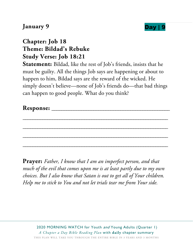#### **January 9 Day | 9**



#### **Chapter: Job 18 Theme: Bildad's Rebuke Study Verse: Job 18:21**

**Statement:** Bildad, like the rest of Job's friends, insists that he must be guilty. All the things Job says are happening or about to happen to him, Bildad says are the reward of the wicked. He simply doesn't believe—none of Job's friends do—that bad things can happen to good people. What do you think?

\_\_\_\_\_\_\_\_\_\_\_\_\_\_\_\_\_\_\_\_\_\_\_\_\_\_\_\_\_\_\_\_\_\_\_\_\_\_\_\_\_\_\_\_\_\_\_\_\_\_\_\_\_\_\_\_\_\_\_

\_\_\_\_\_\_\_\_\_\_\_\_\_\_\_\_\_\_\_\_\_\_\_\_\_\_\_\_\_\_\_\_\_\_\_\_\_\_\_\_\_\_\_\_\_\_\_\_\_\_\_\_\_\_\_\_\_\_\_

\_\_\_\_\_\_\_\_\_\_\_\_\_\_\_\_\_\_\_\_\_\_\_\_\_\_\_\_\_\_\_\_\_\_\_\_\_\_\_\_\_\_\_\_\_\_\_\_\_\_\_\_\_\_\_\_\_\_\_

\_\_\_\_\_\_\_\_\_\_\_\_\_\_\_\_\_\_\_\_\_\_\_\_\_\_\_\_\_\_\_\_\_\_\_\_\_\_\_\_\_\_\_\_\_\_\_\_\_\_\_\_\_\_\_\_\_\_\_

**Response:** \_\_\_\_\_\_\_\_\_\_\_\_\_\_\_\_\_\_\_\_\_\_\_\_\_\_\_\_\_\_\_\_\_\_\_\_\_\_\_\_\_\_\_\_\_\_\_\_

**Prayer:** *Father, I know that I am an imperfect person, and that much of the evil that comes upon me is at least partly due to my own choices. But I also know that Satan is out to get all of Your children. Help me to stick to You and not let trials tear me from Your side.*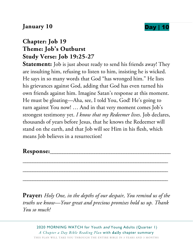#### **January 10** Day | 10

## **Chapter: Job 19 Theme: Job's Outburst Study Verse: Job 19:25-27**

**Statement:** Job is just about ready to send his friends away! They are insulting him, refusing to listen to him, insisting he is wicked. He says in so many words that God "has wronged him." He lists his grievances against God, adding that God has even turned his own friends against him. Imagine Satan's response at this moment. He must be gloating—Aha, see, I told You, God! He's going to turn against You now! … And in that very moment comes Job's strongest testimony yet. *I know that my Redeemer lives*. Job declares, thousands of years before Jesus, that he knows the Redeemer will stand on the earth, and that Job will see Him in his flesh, which means Job believes in a resurrection!

#### **Response:**\_\_\_\_\_\_\_\_\_\_\_\_\_\_\_\_\_\_\_\_\_\_\_\_\_\_\_\_\_\_\_\_\_\_\_\_\_\_\_\_\_\_\_\_\_\_\_\_\_

**Prayer:** *Holy One, in the depths of our despair, You remind us of the truths we know—Your great and precious promises hold us up. Thank You so much!* 

\_\_\_\_\_\_\_\_\_\_\_\_\_\_\_\_\_\_\_\_\_\_\_\_\_\_\_\_\_\_\_\_\_\_\_\_\_\_\_\_\_\_\_\_\_\_\_\_\_\_\_\_\_\_\_\_\_\_\_

\_\_\_\_\_\_\_\_\_\_\_\_\_\_\_\_\_\_\_\_\_\_\_\_\_\_\_\_\_\_\_\_\_\_\_\_\_\_\_\_\_\_\_\_\_\_\_\_\_\_\_\_\_\_\_\_\_\_\_

\_\_\_\_\_\_\_\_\_\_\_\_\_\_\_\_\_\_\_\_\_\_\_\_\_\_\_\_\_\_\_\_\_\_\_\_\_\_\_\_\_\_\_\_\_\_\_\_\_\_\_\_\_\_\_\_\_\_\_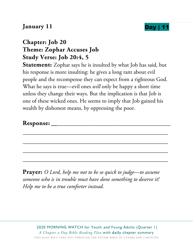#### **January 11 Day** |



### **Chapter: Job 20 Theme: Zophar Accuses Job Study Verse: Job 20:4, 5**

**Statement:** Zophar says he is insulted by what Job has said, but his response is more insulting: he gives a long rant about evil people and the recompense they can expect from a righteous God. What he says is true—evil ones *will* only be happy a short time unless they change their ways. But the implication is that Job is one of these wicked ones. He seems to imply that Job gained his wealth by dishonest means, by oppressing the poor.

**Response:** \_\_\_\_\_\_\_\_\_\_\_\_\_\_\_\_\_\_\_\_\_\_\_\_\_\_\_\_\_\_\_\_\_\_\_\_\_\_\_\_\_\_\_\_\_\_\_\_

\_\_\_\_\_\_\_\_\_\_\_\_\_\_\_\_\_\_\_\_\_\_\_\_\_\_\_\_\_\_\_\_\_\_\_\_\_\_\_\_\_\_\_\_\_\_\_\_\_\_\_\_\_\_\_\_\_\_\_

\_\_\_\_\_\_\_\_\_\_\_\_\_\_\_\_\_\_\_\_\_\_\_\_\_\_\_\_\_\_\_\_\_\_\_\_\_\_\_\_\_\_\_\_\_\_\_\_\_\_\_\_\_\_\_\_\_\_\_

\_\_\_\_\_\_\_\_\_\_\_\_\_\_\_\_\_\_\_\_\_\_\_\_\_\_\_\_\_\_\_\_\_\_\_\_\_\_\_\_\_\_\_\_\_\_\_\_\_\_\_\_\_\_\_\_\_\_\_

\_\_\_\_\_\_\_\_\_\_\_\_\_\_\_\_\_\_\_\_\_\_\_\_\_\_\_\_\_\_\_\_\_\_\_\_\_\_\_\_\_\_\_\_\_\_\_\_\_\_\_\_\_\_\_\_\_\_\_

**Prayer:** *O Lord, help me not to be so quick to judge—to assume someone who is in trouble must have done something to deserve it! Help me to be a true comforter instead.*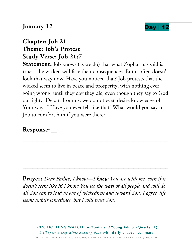#### **January 12 Day |**

#### **Chapter: Job 21 Theme: Job's Protest Study Verse: Job 21:7**

**Statement:** Job knows (as we do) that what Zophar has said is true—the wicked will face their consequences. But it often doesn't look that way now! Have you noticed that? Job protests that the wicked seem to live in peace and prosperity, with nothing ever going wrong, until they day they die, even though they say to God outright, "Depart from us; we do not even desire knowledge of Your ways!" Have you ever felt like that? What would you say to Job to comfort him if you were there?

\_\_\_\_\_\_\_\_\_\_\_\_\_\_\_\_\_\_\_\_\_\_\_\_\_\_\_\_\_\_\_\_\_\_\_\_\_\_\_\_\_\_\_\_\_\_\_\_\_\_\_\_\_\_\_\_\_\_\_

\_\_\_\_\_\_\_\_\_\_\_\_\_\_\_\_\_\_\_\_\_\_\_\_\_\_\_\_\_\_\_\_\_\_\_\_\_\_\_\_\_\_\_\_\_\_\_\_\_\_\_\_\_\_\_\_\_\_\_

\_\_\_\_\_\_\_\_\_\_\_\_\_\_\_\_\_\_\_\_\_\_\_\_\_\_\_\_\_\_\_\_\_\_\_\_\_\_\_\_\_\_\_\_\_\_\_\_\_\_\_\_\_\_\_\_\_\_\_

\_\_\_\_\_\_\_\_\_\_\_\_\_\_\_\_\_\_\_\_\_\_\_\_\_\_\_\_\_\_\_\_\_\_\_\_\_\_\_\_\_\_\_\_\_\_\_\_\_\_\_\_\_\_\_\_\_\_\_

#### **Response:** \_\_\_\_\_\_\_\_\_\_\_\_\_\_\_\_\_\_\_\_\_\_\_\_\_\_\_\_\_\_\_\_\_\_\_\_\_\_\_\_\_\_\_\_\_\_\_\_

**Prayer:** *Dear Father, I know—I know You are with me, even if it doesn't seem like it! I know You see the ways of all people and will do all You can to lead us out of wickedness and toward You. I agree, life seems unfair sometimes, but I will trust You.*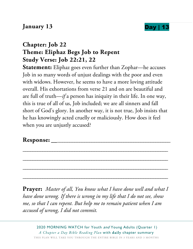#### **January 13 Day | 1**



#### **Chapter: Job 22 Theme: Eliphaz Begs Job to Repent Study Verse: Job 22:21, 22**

**Statement:** Eliphaz goes even further than Zophar—he accuses Job in so many words of unjust dealings with the poor and even with widows. However, he seems to have a more loving attitude overall. His exhortations from verse 21 and on are beautiful and are full of truth—*if* a person has iniquity in their life. In one way, this is true of all of us, Job included; we are all sinners and fall short of God's glory. In another way, it is not true, Job insists that he has knowingly acted cruelly or maliciously. How does it feel when you are unjustly accused?

#### **Response:** \_\_\_\_\_\_\_\_\_\_\_\_\_\_\_\_\_\_\_\_\_\_\_\_\_\_\_\_\_\_\_\_\_\_\_\_\_\_\_\_\_\_\_\_\_\_\_\_

**Prayer:** *Master of all, You know what I have done well and what I have done wrong. If there is wrong in my life that I do not see, show me, so that I can repent. But help me to remain patient when I am accused of wrong, I did not commit.* 

\_\_\_\_\_\_\_\_\_\_\_\_\_\_\_\_\_\_\_\_\_\_\_\_\_\_\_\_\_\_\_\_\_\_\_\_\_\_\_\_\_\_\_\_\_\_\_\_\_\_\_\_\_\_\_\_\_\_\_

\_\_\_\_\_\_\_\_\_\_\_\_\_\_\_\_\_\_\_\_\_\_\_\_\_\_\_\_\_\_\_\_\_\_\_\_\_\_\_\_\_\_\_\_\_\_\_\_\_\_\_\_\_\_\_\_\_\_\_

\_\_\_\_\_\_\_\_\_\_\_\_\_\_\_\_\_\_\_\_\_\_\_\_\_\_\_\_\_\_\_\_\_\_\_\_\_\_\_\_\_\_\_\_\_\_\_\_\_\_\_\_\_\_\_\_\_\_\_

\_\_\_\_\_\_\_\_\_\_\_\_\_\_\_\_\_\_\_\_\_\_\_\_\_\_\_\_\_\_\_\_\_\_\_\_\_\_\_\_\_\_\_\_\_\_\_\_\_\_\_\_\_\_\_\_\_\_\_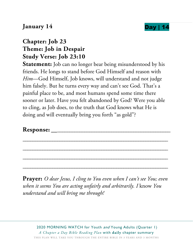

#### **January 14 Day** |

#### **Chapter: Job 23 Theme: Job in Despair Study Verse: Job 23:10**

**Statement:** Job can no longer bear being misunderstood by his friends. He longs to stand before God Himself and reason with *Him*—God Himself, Job knows, will understand and not judge him falsely. But he turns every way and can't see God. That's a painful place to be, and most humans spend some time there sooner or later. Have you felt abandoned by God? Were you able to cling, as Job does, to the truth that God knows what He is doing and will eventually bring you forth "as gold"?

#### **Response:** \_\_\_\_\_\_\_\_\_\_\_\_\_\_\_\_\_\_\_\_\_\_\_\_\_\_\_\_\_\_\_\_\_\_\_\_\_\_\_\_\_\_\_\_\_\_\_\_

**Prayer:** *O dear Jesus, I cling to You even when I can't see You; even when it seems You are acting unfairly and arbitrarily. I* know *You understand and will bring me through!* 

\_\_\_\_\_\_\_\_\_\_\_\_\_\_\_\_\_\_\_\_\_\_\_\_\_\_\_\_\_\_\_\_\_\_\_\_\_\_\_\_\_\_\_\_\_\_\_\_\_\_\_\_\_\_\_\_\_\_\_

\_\_\_\_\_\_\_\_\_\_\_\_\_\_\_\_\_\_\_\_\_\_\_\_\_\_\_\_\_\_\_\_\_\_\_\_\_\_\_\_\_\_\_\_\_\_\_\_\_\_\_\_\_\_\_\_\_\_\_

\_\_\_\_\_\_\_\_\_\_\_\_\_\_\_\_\_\_\_\_\_\_\_\_\_\_\_\_\_\_\_\_\_\_\_\_\_\_\_\_\_\_\_\_\_\_\_\_\_\_\_\_\_\_\_\_\_\_\_

\_\_\_\_\_\_\_\_\_\_\_\_\_\_\_\_\_\_\_\_\_\_\_\_\_\_\_\_\_\_\_\_\_\_\_\_\_\_\_\_\_\_\_\_\_\_\_\_\_\_\_\_\_\_\_\_\_\_\_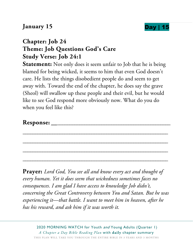#### **January 15 Day |**



#### **Chapter: Job 24 Theme: Job Questions God's Care Study Verse: Job 24:1**

**Statement:** Not only does it seem unfair to Job that he is being blamed for being wicked, it seems to him that even God doesn't care. He lists the things disobedient people do and seem to get away with. Toward the end of the chapter, he does say the grave (Sheol) will swallow up these people and their evil, but he would like to see God respond more obviously now. What do you do when you feel like this?

\_\_\_\_\_\_\_\_\_\_\_\_\_\_\_\_\_\_\_\_\_\_\_\_\_\_\_\_\_\_\_\_\_\_\_\_\_\_\_\_\_\_\_\_\_\_\_\_\_\_\_\_\_\_\_\_\_\_\_

\_\_\_\_\_\_\_\_\_\_\_\_\_\_\_\_\_\_\_\_\_\_\_\_\_\_\_\_\_\_\_\_\_\_\_\_\_\_\_\_\_\_\_\_\_\_\_\_\_\_\_\_\_\_\_\_\_\_\_

\_\_\_\_\_\_\_\_\_\_\_\_\_\_\_\_\_\_\_\_\_\_\_\_\_\_\_\_\_\_\_\_\_\_\_\_\_\_\_\_\_\_\_\_\_\_\_\_\_\_\_\_\_\_\_\_\_\_\_

\_\_\_\_\_\_\_\_\_\_\_\_\_\_\_\_\_\_\_\_\_\_\_\_\_\_\_\_\_\_\_\_\_\_\_\_\_\_\_\_\_\_\_\_\_\_\_\_\_\_\_\_\_\_\_\_\_\_\_

#### **Response:** \_\_\_\_\_\_\_\_\_\_\_\_\_\_\_\_\_\_\_\_\_\_\_\_\_\_\_\_\_\_\_\_\_\_\_\_\_\_\_\_\_\_\_\_\_\_\_\_

**Prayer:** *Lord God, You see all and know every act and thought of every human. Yet it does seem that wickedness sometimes faces no consequences. I am glad I have access to knowledge Job didn't, concerning the Great Controversy between You and Satan. But he was experiencing it—that battle. I want to meet him in heaven, after he has his reward, and ask him if it was worth it.*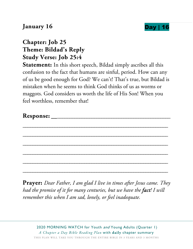#### **January 16 Day | 16 <b>Day** | 16 **Day** | 16 **Day** | 16 **Day** | 16 **Day** | 16 **Day** | 16 **Day** | 16 **Day** | 16 **Day** | 16 **Day** | 16 **Day** | 17 **Day** | 17 **Day** | 17 **Day** | 17 **Day** | 17 **Day** | 17 **Day** | 17 **Day** | 17



## **Chapter: Job 25 Theme: Bildad's Reply Study Verse: Job 25:4**

**Statement:** In this short speech, Bildad simply ascribes all this confusion to the fact that humans are sinful, period. How can any of us be good enough for God? We can't! That's true, but Bildad is mistaken when he seems to think God thinks of us as worms or maggots. God considers us worth the life of His Son! When you feel worthless, remember that!

\_\_\_\_\_\_\_\_\_\_\_\_\_\_\_\_\_\_\_\_\_\_\_\_\_\_\_\_\_\_\_\_\_\_\_\_\_\_\_\_\_\_\_\_\_\_\_\_\_\_\_\_\_\_\_\_\_\_\_

\_\_\_\_\_\_\_\_\_\_\_\_\_\_\_\_\_\_\_\_\_\_\_\_\_\_\_\_\_\_\_\_\_\_\_\_\_\_\_\_\_\_\_\_\_\_\_\_\_\_\_\_\_\_\_\_\_\_\_

\_\_\_\_\_\_\_\_\_\_\_\_\_\_\_\_\_\_\_\_\_\_\_\_\_\_\_\_\_\_\_\_\_\_\_\_\_\_\_\_\_\_\_\_\_\_\_\_\_\_\_\_\_\_\_\_\_\_\_

\_\_\_\_\_\_\_\_\_\_\_\_\_\_\_\_\_\_\_\_\_\_\_\_\_\_\_\_\_\_\_\_\_\_\_\_\_\_\_\_\_\_\_\_\_\_\_\_\_\_\_\_\_\_\_\_\_\_\_

\_\_\_\_\_\_\_\_\_\_\_\_\_\_\_\_\_\_\_\_\_\_\_\_\_\_\_\_\_\_\_\_\_\_\_\_\_\_\_\_\_\_\_\_\_\_\_\_\_\_\_\_\_\_\_\_\_\_\_

\_\_\_\_\_\_\_\_\_\_\_\_\_\_\_\_\_\_\_\_\_\_\_\_\_\_\_\_\_\_\_\_\_\_\_\_\_\_\_\_\_\_\_\_\_\_\_\_\_\_\_\_\_\_\_\_\_\_\_

**Prayer:** *Dear Father, I am glad I live in times after Jesus came. They had the promise of it for many centuries, but we have the fact! I will remember this when I am sad, lonely, or feel inadequate.*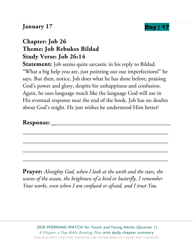#### **January 17 Day** |



#### **Chapter: Job 26 Theme: Job Rebukes Bildad Study Verse: Job 26:14**

**Statement:** Job seems quite sarcastic in his reply to Bildad. "What a big help you are, just pointing out our imperfections!" he says. But then, notice, Job does what he has done before, praising God's power and glory, despite his unhappiness and confusion. Again, he uses language much like the language God will use in His eventual response near the end of the book. Job has no doubts about God's might. He just wishes he understood Him better!

\_\_\_\_\_\_\_\_\_\_\_\_\_\_\_\_\_\_\_\_\_\_\_\_\_\_\_\_\_\_\_\_\_\_\_\_\_\_\_\_\_\_\_\_\_\_\_\_\_\_\_\_\_\_\_\_\_\_\_

\_\_\_\_\_\_\_\_\_\_\_\_\_\_\_\_\_\_\_\_\_\_\_\_\_\_\_\_\_\_\_\_\_\_\_\_\_\_\_\_\_\_\_\_\_\_\_\_\_\_\_\_\_\_\_\_\_\_\_

\_\_\_\_\_\_\_\_\_\_\_\_\_\_\_\_\_\_\_\_\_\_\_\_\_\_\_\_\_\_\_\_\_\_\_\_\_\_\_\_\_\_\_\_\_\_\_\_\_\_\_\_\_\_\_\_\_\_\_

\_\_\_\_\_\_\_\_\_\_\_\_\_\_\_\_\_\_\_\_\_\_\_\_\_\_\_\_\_\_\_\_\_\_\_\_\_\_\_\_\_\_\_\_\_\_\_\_\_\_\_\_\_\_\_\_\_\_\_

#### **Response:** \_\_\_\_\_\_\_\_\_\_\_\_\_\_\_\_\_\_\_\_\_\_\_\_\_\_\_\_\_\_\_\_\_\_\_\_\_\_\_\_\_\_\_\_\_\_\_\_

**Prayer:** *Almighty God, when I look at the earth and the stars, the waves of the ocean, the brightness of a bird or butterfly, I remember Your works, even when I am confused or afraid, and I trust You.*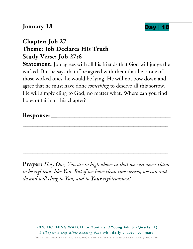#### **January 18 Day | 18**



#### **Chapter: Job 27 Theme: Job Declares His Truth Study Verse: Job 27:6**

**Statement:** Job agrees with all his friends that God will judge the wicked. But he says that if he agreed with them that he is one of those wicked ones, he would be lying. He will not bow down and agree that he must have done *something* to deserve all this sorrow. He will simply cling to God, no matter what. Where can you find hope or faith in this chapter?

| n<br><b>Response:</b> |  |
|-----------------------|--|
|-----------------------|--|

\_\_\_\_\_\_\_\_\_\_\_\_\_\_\_\_\_\_\_\_\_\_\_\_\_\_\_\_\_\_\_\_\_\_\_\_\_\_\_\_\_\_\_\_\_\_\_\_\_\_\_\_\_\_\_\_\_\_\_

\_\_\_\_\_\_\_\_\_\_\_\_\_\_\_\_\_\_\_\_\_\_\_\_\_\_\_\_\_\_\_\_\_\_\_\_\_\_\_\_\_\_\_\_\_\_\_\_\_\_\_\_\_\_\_\_\_\_\_

\_\_\_\_\_\_\_\_\_\_\_\_\_\_\_\_\_\_\_\_\_\_\_\_\_\_\_\_\_\_\_\_\_\_\_\_\_\_\_\_\_\_\_\_\_\_\_\_\_\_\_\_\_\_\_\_\_\_\_

\_\_\_\_\_\_\_\_\_\_\_\_\_\_\_\_\_\_\_\_\_\_\_\_\_\_\_\_\_\_\_\_\_\_\_\_\_\_\_\_\_\_\_\_\_\_\_\_\_\_\_\_\_\_\_\_\_\_\_

**Prayer:** *Holy One, You are so high above us that we can never claim to be righteous like You. But if we have clean consciences, we can and do and will cling to You, and to Your righteousness!*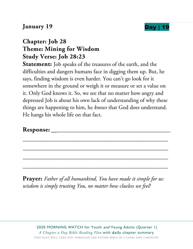#### **January 19 Day |**



#### **Chapter: Job 28 Theme: Mining for Wisdom Study Verse: Job 28:23**

**Statement:** Job speaks of the treasures of the earth, and the difficulties and dangers humans face in digging them up. But, he says, finding wisdom is even harder. You can't go look for it somewhere in the ground or weigh it or measure or set a value on it. Only God knows it. So, we see that no matter how angry and depressed Job is about his own lack of understanding of why these things are happening to him, he *knows* that God does understand. He hangs his whole life on that fact.

#### **Response:** \_\_\_\_\_\_\_\_\_\_\_\_\_\_\_\_\_\_\_\_\_\_\_\_\_\_\_\_\_\_\_\_\_\_\_\_\_\_\_\_\_\_\_\_\_\_\_\_

**Prayer:** *Father of all humankind, You have made it simple for us: wisdom is simply trusting You, no matter how clueless we feel!* 

\_\_\_\_\_\_\_\_\_\_\_\_\_\_\_\_\_\_\_\_\_\_\_\_\_\_\_\_\_\_\_\_\_\_\_\_\_\_\_\_\_\_\_\_\_\_\_\_\_\_\_\_\_\_\_\_\_\_\_

\_\_\_\_\_\_\_\_\_\_\_\_\_\_\_\_\_\_\_\_\_\_\_\_\_\_\_\_\_\_\_\_\_\_\_\_\_\_\_\_\_\_\_\_\_\_\_\_\_\_\_\_\_\_\_\_\_\_\_

\_\_\_\_\_\_\_\_\_\_\_\_\_\_\_\_\_\_\_\_\_\_\_\_\_\_\_\_\_\_\_\_\_\_\_\_\_\_\_\_\_\_\_\_\_\_\_\_\_\_\_\_\_\_\_\_\_\_\_

\_\_\_\_\_\_\_\_\_\_\_\_\_\_\_\_\_\_\_\_\_\_\_\_\_\_\_\_\_\_\_\_\_\_\_\_\_\_\_\_\_\_\_\_\_\_\_\_\_\_\_\_\_\_\_\_\_\_\_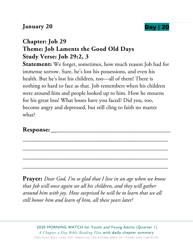#### **January 20** Day | 20



#### **Chapter: Job 29 Theme: Job Laments the Good Old Days Study Verse: Job 29:2, 3**

**Statement:** We forget, sometimes, how much reason Job had for immense sorrow. Sure, he's lost his possessions, and even his health. But he's lost his children, too—all of them! There is nothing so hard to face as that. Job remembers when his children were around him and people looked up to him. How he mourns for his great loss! What losses have you faced? Did you, too, become angry and depressed, but still cling to faith no matter what?

\_\_\_\_\_\_\_\_\_\_\_\_\_\_\_\_\_\_\_\_\_\_\_\_\_\_\_\_\_\_\_\_\_\_\_\_\_\_\_\_\_\_\_\_\_\_\_\_\_\_\_\_\_\_\_\_\_\_\_

\_\_\_\_\_\_\_\_\_\_\_\_\_\_\_\_\_\_\_\_\_\_\_\_\_\_\_\_\_\_\_\_\_\_\_\_\_\_\_\_\_\_\_\_\_\_\_\_\_\_\_\_\_\_\_\_\_\_\_

\_\_\_\_\_\_\_\_\_\_\_\_\_\_\_\_\_\_\_\_\_\_\_\_\_\_\_\_\_\_\_\_\_\_\_\_\_\_\_\_\_\_\_\_\_\_\_\_\_\_\_\_\_\_\_\_\_\_\_

\_\_\_\_\_\_\_\_\_\_\_\_\_\_\_\_\_\_\_\_\_\_\_\_\_\_\_\_\_\_\_\_\_\_\_\_\_\_\_\_\_\_\_\_\_\_\_\_\_\_\_\_\_\_\_\_\_\_\_

#### **Response:** \_\_\_\_\_\_\_\_\_\_\_\_\_\_\_\_\_\_\_\_\_\_\_\_\_\_\_\_\_\_\_\_\_\_\_\_\_\_\_\_\_\_\_\_\_\_\_\_

**Prayer:** *Dear God, I'm so glad that I live in an age when we know that Job will once again see all his children, and they will gather around him with joy. How surprised he will be to learn that we all still honor him and learn of him, all these years later!*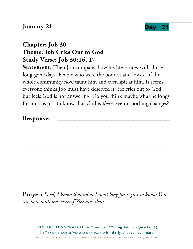#### **January 21 Day**



#### **Chapter: Job 30 Theme: Job Cries Out to God Study Verse: Job 30:16, 17**

**Statement:** Then Job compares how his life is now with those long-gone days. People who were the poorest and lowest of the whole community now taunt him and even spit at him. It seems everyone thinks Job must have deserved it. He cries out to God, but feels God is not answering. Do you think maybe what he longs for most is just to know that God is *there*, even if nothing changes?

| $\blacksquare$<br><b>Response:</b> |  |
|------------------------------------|--|
|                                    |  |

\_\_\_\_\_\_\_\_\_\_\_\_\_\_\_\_\_\_\_\_\_\_\_\_\_\_\_\_\_\_\_\_\_\_\_\_\_\_\_\_\_\_\_\_\_\_\_\_\_\_\_\_\_\_\_\_\_\_\_

\_\_\_\_\_\_\_\_\_\_\_\_\_\_\_\_\_\_\_\_\_\_\_\_\_\_\_\_\_\_\_\_\_\_\_\_\_\_\_\_\_\_\_\_\_\_\_\_\_\_\_\_\_\_\_\_\_\_\_

\_\_\_\_\_\_\_\_\_\_\_\_\_\_\_\_\_\_\_\_\_\_\_\_\_\_\_\_\_\_\_\_\_\_\_\_\_\_\_\_\_\_\_\_\_\_\_\_\_\_\_\_\_\_\_\_\_\_\_

\_\_\_\_\_\_\_\_\_\_\_\_\_\_\_\_\_\_\_\_\_\_\_\_\_\_\_\_\_\_\_\_\_\_\_\_\_\_\_\_\_\_\_\_\_\_\_\_\_\_\_\_\_\_\_\_\_\_\_

\_\_\_\_\_\_\_\_\_\_\_\_\_\_\_\_\_\_\_\_\_\_\_\_\_\_\_\_\_\_\_\_\_\_\_\_\_\_\_\_\_\_\_\_\_\_\_\_\_\_\_\_\_\_\_\_\_\_\_

\_\_\_\_\_\_\_\_\_\_\_\_\_\_\_\_\_\_\_\_\_\_\_\_\_\_\_\_\_\_\_\_\_\_\_\_\_\_\_\_\_\_\_\_\_\_\_\_\_\_\_\_\_\_\_\_\_\_\_

\_\_\_\_\_\_\_\_\_\_\_\_\_\_\_\_\_\_\_\_\_\_\_\_\_\_\_\_\_\_\_\_\_\_\_\_\_\_\_\_\_\_\_\_\_\_\_\_\_\_\_\_\_\_\_\_\_\_\_

**Prayer:** *Lord, I know that what I most long for is just to know You are here with me, even if You are silent.*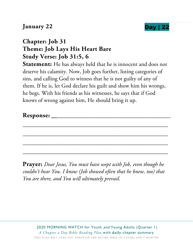#### **January 22 Day**



#### **Chapter: Job 31 Theme: Job Lays His Heart Bare Study Verse: Job 31:5, 6**

**Statement:** He has always held that he is innocent and does not deserve his calamity. Now, Job goes further, listing categories of sins, and calling God to witness that he is not guilty of any of them. If he is, let God declare his guilt and show him his wrongs, he begs. With his friends as his witnesses, he says that if God knows of wrong against him, He should bring it up.

\_\_\_\_\_\_\_\_\_\_\_\_\_\_\_\_\_\_\_\_\_\_\_\_\_\_\_\_\_\_\_\_\_\_\_\_\_\_\_\_\_\_\_\_\_\_\_\_\_\_\_\_\_\_\_\_\_\_\_

\_\_\_\_\_\_\_\_\_\_\_\_\_\_\_\_\_\_\_\_\_\_\_\_\_\_\_\_\_\_\_\_\_\_\_\_\_\_\_\_\_\_\_\_\_\_\_\_\_\_\_\_\_\_\_\_\_\_\_

\_\_\_\_\_\_\_\_\_\_\_\_\_\_\_\_\_\_\_\_\_\_\_\_\_\_\_\_\_\_\_\_\_\_\_\_\_\_\_\_\_\_\_\_\_\_\_\_\_\_\_\_\_\_\_\_\_\_\_

\_\_\_\_\_\_\_\_\_\_\_\_\_\_\_\_\_\_\_\_\_\_\_\_\_\_\_\_\_\_\_\_\_\_\_\_\_\_\_\_\_\_\_\_\_\_\_\_\_\_\_\_\_\_\_\_\_\_\_

**Prayer:** *Dear Jesus, You must have wept with Job, even though he couldn't hear You. I know (Job showed often that he knew, too) that You are there, and You will ultimately prevail.*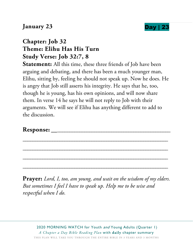#### **January 23 Day** |



#### **Chapter: Job 32 Theme: Elihu Has His Turn Study Verse: Job 32:7, 8**

**Statement:** All this time, these three friends of Job have been arguing and debating, and there has been a much younger man, Elihu, sitting by, feeling he should not speak up. Now he does. He is angry that Job still asserts his integrity. He says that he, too, though he is young, has his own opinions, and will now share them. In verse 14 he says he will not reply to Job with their arguments. We will see if Elihu has anything different to add to the discussion.

#### **Response:** \_\_\_\_\_\_\_\_\_\_\_\_\_\_\_\_\_\_\_\_\_\_\_\_\_\_\_\_\_\_\_\_\_\_\_\_\_\_\_\_\_\_\_\_\_\_\_\_

**Prayer:** *Lord, I, too, am young, and wait on the wisdom of my elders. But sometimes I feel I have to speak up. Help me to be wise and respectful when I do.* 

\_\_\_\_\_\_\_\_\_\_\_\_\_\_\_\_\_\_\_\_\_\_\_\_\_\_\_\_\_\_\_\_\_\_\_\_\_\_\_\_\_\_\_\_\_\_\_\_\_\_\_\_\_\_\_\_\_\_\_

\_\_\_\_\_\_\_\_\_\_\_\_\_\_\_\_\_\_\_\_\_\_\_\_\_\_\_\_\_\_\_\_\_\_\_\_\_\_\_\_\_\_\_\_\_\_\_\_\_\_\_\_\_\_\_\_\_\_\_

\_\_\_\_\_\_\_\_\_\_\_\_\_\_\_\_\_\_\_\_\_\_\_\_\_\_\_\_\_\_\_\_\_\_\_\_\_\_\_\_\_\_\_\_\_\_\_\_\_\_\_\_\_\_\_\_\_\_\_

\_\_\_\_\_\_\_\_\_\_\_\_\_\_\_\_\_\_\_\_\_\_\_\_\_\_\_\_\_\_\_\_\_\_\_\_\_\_\_\_\_\_\_\_\_\_\_\_\_\_\_\_\_\_\_\_\_\_\_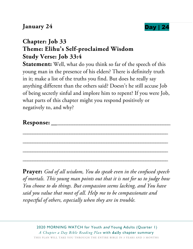

## **Chapter: Job 33 Theme: Elihu's Self-proclaimed Wisdom Study Verse: Job 33:4**

**Statement:** Well, what do you think so far of the speech of this young man in the presence of his elders? There is definitely truth in it; make a list of the truths you find. But does he really say anything different than the others said? Doesn't he still accuse Job of being secretly sinful and implore him to repent? If you were Job, what parts of this chapter might you respond positively or negatively to, and why?

\_\_\_\_\_\_\_\_\_\_\_\_\_\_\_\_\_\_\_\_\_\_\_\_\_\_\_\_\_\_\_\_\_\_\_\_\_\_\_\_\_\_\_\_\_\_\_\_\_\_\_\_\_\_\_\_\_\_\_

\_\_\_\_\_\_\_\_\_\_\_\_\_\_\_\_\_\_\_\_\_\_\_\_\_\_\_\_\_\_\_\_\_\_\_\_\_\_\_\_\_\_\_\_\_\_\_\_\_\_\_\_\_\_\_\_\_\_\_

\_\_\_\_\_\_\_\_\_\_\_\_\_\_\_\_\_\_\_\_\_\_\_\_\_\_\_\_\_\_\_\_\_\_\_\_\_\_\_\_\_\_\_\_\_\_\_\_\_\_\_\_\_\_\_\_\_\_\_

\_\_\_\_\_\_\_\_\_\_\_\_\_\_\_\_\_\_\_\_\_\_\_\_\_\_\_\_\_\_\_\_\_\_\_\_\_\_\_\_\_\_\_\_\_\_\_\_\_\_\_\_\_\_\_\_\_\_\_

#### **Response:** \_\_\_\_\_\_\_\_\_\_\_\_\_\_\_\_\_\_\_\_\_\_\_\_\_\_\_\_\_\_\_\_\_\_\_\_\_\_\_\_\_\_\_\_\_\_\_\_

**Prayer:** *God of all wisdom, You do speak even in the confused speech of mortals. This young man points out that it is not for us to judge how You choose to do things. But compassion seems lacking, and You have said you value that most of all. Help me to be compassionate and respectful of others, especially when they are in trouble.*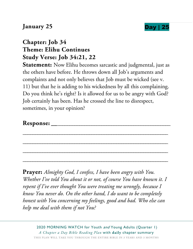#### **January 25 Day**



## **Chapter: Job 34 Theme: Elihu Continues Study Verse: Job 34:21, 22**

**Statement:** Now Elihu becomes sarcastic and judgmental, just as the others have before. He throws down all Job's arguments and complaints and not only believes that Job must be wicked (see v. 11) but that he is adding to his wickedness by all this complaining. Do you think he's right? Is it allowed for us to be angry with God? Job certainly has been. Has he crossed the line to disrespect, sometimes, in your opinion?

| Response: |
|-----------|
|-----------|

\_\_\_\_\_\_\_\_\_\_\_\_\_\_\_\_\_\_\_\_\_\_\_\_\_\_\_\_\_\_\_\_\_\_\_\_\_\_\_\_\_\_\_\_\_\_\_\_\_\_\_\_\_\_\_\_\_\_\_

\_\_\_\_\_\_\_\_\_\_\_\_\_\_\_\_\_\_\_\_\_\_\_\_\_\_\_\_\_\_\_\_\_\_\_\_\_\_\_\_\_\_\_\_\_\_\_\_\_\_\_\_\_\_\_\_\_\_\_

\_\_\_\_\_\_\_\_\_\_\_\_\_\_\_\_\_\_\_\_\_\_\_\_\_\_\_\_\_\_\_\_\_\_\_\_\_\_\_\_\_\_\_\_\_\_\_\_\_\_\_\_\_\_\_\_\_\_\_

\_\_\_\_\_\_\_\_\_\_\_\_\_\_\_\_\_\_\_\_\_\_\_\_\_\_\_\_\_\_\_\_\_\_\_\_\_\_\_\_\_\_\_\_\_\_\_\_\_\_\_\_\_\_\_\_\_\_\_

**Prayer:** *Almighty God, I confess, I have been angry with You. Whether I've told You about it or not, of course You have known it. I repent if I've ever thought You were treating me wrongly, because I know You never do. On the other hand, I do want to be completely honest with You concerning my feelings, good and bad. Who else can help me deal with them if not You?*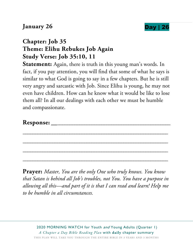#### **January 26 Day | 2012**



#### **Chapter: Job 35 Theme: Elihu Rebukes Job Again Study Verse: Job 35:10, 11**

**Statement:** Again, there is truth in this young man's words. In fact, if you pay attention, you will find that some of what he says is similar to what God is going to say in a few chapters. But he is still very angry and sarcastic with Job. Since Elihu is young, he may not even have children. How can he know what it would be like to lose them all? In all our dealings with each other we must be humble and compassionate.

\_\_\_\_\_\_\_\_\_\_\_\_\_\_\_\_\_\_\_\_\_\_\_\_\_\_\_\_\_\_\_\_\_\_\_\_\_\_\_\_\_\_\_\_\_\_\_\_\_\_\_\_\_\_\_\_\_\_\_

\_\_\_\_\_\_\_\_\_\_\_\_\_\_\_\_\_\_\_\_\_\_\_\_\_\_\_\_\_\_\_\_\_\_\_\_\_\_\_\_\_\_\_\_\_\_\_\_\_\_\_\_\_\_\_\_\_\_\_

\_\_\_\_\_\_\_\_\_\_\_\_\_\_\_\_\_\_\_\_\_\_\_\_\_\_\_\_\_\_\_\_\_\_\_\_\_\_\_\_\_\_\_\_\_\_\_\_\_\_\_\_\_\_\_\_\_\_\_

\_\_\_\_\_\_\_\_\_\_\_\_\_\_\_\_\_\_\_\_\_\_\_\_\_\_\_\_\_\_\_\_\_\_\_\_\_\_\_\_\_\_\_\_\_\_\_\_\_\_\_\_\_\_\_\_\_\_\_

#### **Response:** \_\_\_\_\_\_\_\_\_\_\_\_\_\_\_\_\_\_\_\_\_\_\_\_\_\_\_\_\_\_\_\_\_\_\_\_\_\_\_\_\_\_\_\_\_\_\_\_

**Prayer:** *Master, You are the only One who truly knows. You know that Satan is behind all Job's troubles, not You. You have a purpose in allowing all this—and part of it is that I can read and learn! Help me to be humble in all circumstances.*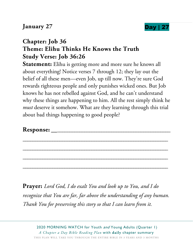

#### **Chapter: Job 36 Theme: Elihu Thinks He Knows the Truth Study Verse: Job 36:26**

**Statement:** Elihu is getting more and more sure he knows all about everything! Notice verses 7 through 12; they lay out the belief of all these men—even Job, up till now. They're sure God rewards righteous people and only punishes wicked ones. But Job knows he has not rebelled against God, and he can't understand why these things are happening to him. All the rest simply think he *must* deserve it somehow. What are they learning through this trial about bad things happening to good people?

\_\_\_\_\_\_\_\_\_\_\_\_\_\_\_\_\_\_\_\_\_\_\_\_\_\_\_\_\_\_\_\_\_\_\_\_\_\_\_\_\_\_\_\_\_\_\_\_\_\_\_\_\_\_\_\_\_\_\_

\_\_\_\_\_\_\_\_\_\_\_\_\_\_\_\_\_\_\_\_\_\_\_\_\_\_\_\_\_\_\_\_\_\_\_\_\_\_\_\_\_\_\_\_\_\_\_\_\_\_\_\_\_\_\_\_\_\_\_

\_\_\_\_\_\_\_\_\_\_\_\_\_\_\_\_\_\_\_\_\_\_\_\_\_\_\_\_\_\_\_\_\_\_\_\_\_\_\_\_\_\_\_\_\_\_\_\_\_\_\_\_\_\_\_\_\_\_\_

\_\_\_\_\_\_\_\_\_\_\_\_\_\_\_\_\_\_\_\_\_\_\_\_\_\_\_\_\_\_\_\_\_\_\_\_\_\_\_\_\_\_\_\_\_\_\_\_\_\_\_\_\_\_\_\_\_\_\_

#### **Response:** \_\_\_\_\_\_\_\_\_\_\_\_\_\_\_\_\_\_\_\_\_\_\_\_\_\_\_\_\_\_\_\_\_\_\_\_\_\_\_\_\_\_\_\_\_\_\_\_

**Prayer:** *Lord God, I do exalt You and look up to You, and I do recognize that You are far, far above the understanding of any human. Thank You for preserving this story so that I can learn from it.*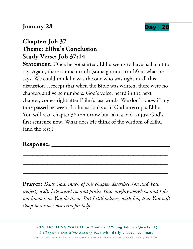#### **January 28 Day | 2**



## **Chapter: Job 37 Theme: Elihu's Conclusion Study Verse: Job 37:14**

**Statement:** Once he got started, Elihu seems to have had a lot to say! Again, there is much truth (some glorious truth!) in what he says. We could think he was the one who was right in all this discussion…except that when the Bible was written, there were no chapters and verse numbers. God's voice, heard in the next chapter, comes right after Elihu's last words. We don't know if any time passed between. It almost looks as if God interrupts Elihu. You will read chapter 38 tomorrow but take a look at just God's first sentence now. What does He think of the wisdom of Elihu (and the rest)?

#### **Response:** \_\_\_\_\_\_\_\_\_\_\_\_\_\_\_\_\_\_\_\_\_\_\_\_\_\_\_\_\_\_\_\_\_\_\_\_\_\_\_\_\_\_\_\_\_\_\_\_

**Prayer:** *Dear God, much of this chapter describes You and Your majesty well. I do stand up and praise Your mighty wonders, and I do not know how You do them. But I still believe, with Job, that You will stoop to answer our cries for help.* 

\_\_\_\_\_\_\_\_\_\_\_\_\_\_\_\_\_\_\_\_\_\_\_\_\_\_\_\_\_\_\_\_\_\_\_\_\_\_\_\_\_\_\_\_\_\_\_\_\_\_\_\_\_\_\_\_\_\_\_

\_\_\_\_\_\_\_\_\_\_\_\_\_\_\_\_\_\_\_\_\_\_\_\_\_\_\_\_\_\_\_\_\_\_\_\_\_\_\_\_\_\_\_\_\_\_\_\_\_\_\_\_\_\_\_\_\_\_\_

\_\_\_\_\_\_\_\_\_\_\_\_\_\_\_\_\_\_\_\_\_\_\_\_\_\_\_\_\_\_\_\_\_\_\_\_\_\_\_\_\_\_\_\_\_\_\_\_\_\_\_\_\_\_\_\_\_\_\_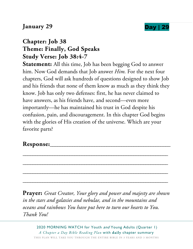



#### **Chapter: Job 38 Theme: Finally, God Speaks Study Verse: Job 38:4-7**

**Statement:** All this time, Job has been begging God to answer him. Now God demands that Job answer *Him.* For the next four chapters, God will ask hundreds of questions designed to show Job and his friends that none of them know as much as they think they know. Job has only two defenses: first, he has never claimed to have answers, as his friends have, and second—even more importantly—he has maintained his trust in God despite his confusion, pain, and discouragement. In this chapter God begins with the glories of His creation of the universe. Which are your favorite parts?

#### Response:

**Prayer:** *Great Creator, Your glory and power and majesty are shown in the stars and galaxies and nebulae, and in the mountains and oceans and rainbows You have put here to turn our hearts to You. Thank You!* 

\_\_\_\_\_\_\_\_\_\_\_\_\_\_\_\_\_\_\_\_\_\_\_\_\_\_\_\_\_\_\_\_\_\_\_\_\_\_\_\_\_\_\_\_\_\_\_\_\_\_\_\_\_\_\_\_\_\_\_

\_\_\_\_\_\_\_\_\_\_\_\_\_\_\_\_\_\_\_\_\_\_\_\_\_\_\_\_\_\_\_\_\_\_\_\_\_\_\_\_\_\_\_\_\_\_\_\_\_\_\_\_\_\_\_\_\_\_\_

\_\_\_\_\_\_\_\_\_\_\_\_\_\_\_\_\_\_\_\_\_\_\_\_\_\_\_\_\_\_\_\_\_\_\_\_\_\_\_\_\_\_\_\_\_\_\_\_\_\_\_\_\_\_\_\_\_\_\_

\_\_\_\_\_\_\_\_\_\_\_\_\_\_\_\_\_\_\_\_\_\_\_\_\_\_\_\_\_\_\_\_\_\_\_\_\_\_\_\_\_\_\_\_\_\_\_\_\_\_\_\_\_\_\_\_\_\_\_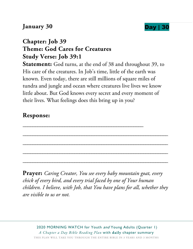#### **January 30 Day** | 30



#### **Chapter: Job 39 Theme: God Cares for Creatures Study Verse: Job 39:1**

**Statement:** God turns, at the end of 38 and throughout 39, to His care of the creatures. In Job's time, little of the earth was known. Even today, there are still millions of square miles of tundra and jungle and ocean where creatures live lives we know little about. But God knows every secret and every moment of their lives. What feelings does this bring up in you?

\_\_\_\_\_\_\_\_\_\_\_\_\_\_\_\_\_\_\_\_\_\_\_\_\_\_\_\_\_\_\_\_\_\_\_\_\_\_\_\_\_\_\_\_\_\_\_\_\_

#### **Response:**

**Prayer:** *Caring Creator, You see every baby mountain goat, every chick of every bird, and every trial faced by one of Your human children. I believe, with Job, that You have plans for all, whether they are visible to us or not.* 

\_\_\_\_\_\_\_\_\_\_\_\_\_\_\_\_\_\_\_\_\_\_\_\_\_\_\_\_\_\_\_\_\_\_\_\_\_\_\_\_\_\_\_\_\_\_\_\_\_\_\_\_\_\_\_\_\_\_\_

\_\_\_\_\_\_\_\_\_\_\_\_\_\_\_\_\_\_\_\_\_\_\_\_\_\_\_\_\_\_\_\_\_\_\_\_\_\_\_\_\_\_\_\_\_\_\_\_\_\_\_\_\_\_\_\_\_\_\_

\_\_\_\_\_\_\_\_\_\_\_\_\_\_\_\_\_\_\_\_\_\_\_\_\_\_\_\_\_\_\_\_\_\_\_\_\_\_\_\_\_\_\_\_\_\_\_\_\_\_\_\_\_\_\_\_\_\_\_

\_\_\_\_\_\_\_\_\_\_\_\_\_\_\_\_\_\_\_\_\_\_\_\_\_\_\_\_\_\_\_\_\_\_\_\_\_\_\_\_\_\_\_\_\_\_\_\_\_\_\_\_\_\_\_\_\_\_\_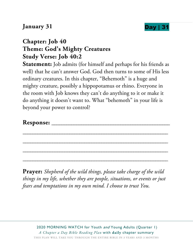#### **January 31 Day**



#### **Chapter: Job 40 Theme: God's Mighty Creatures Study Verse: Job 40:2**

**Statement:** Job admits (for himself and perhaps for his friends as well) that he can't answer God. God then turns to some of His less ordinary creatures. In this chapter, "Behemoth" is a huge and mighty creature, possibly a hippopotamus or rhino. Everyone in the room with Job knows they can't do anything to it or make it do anything it doesn't want to. What "behemoth" in your life is beyond your power to control?

#### **Response:** \_\_\_\_\_\_\_\_\_\_\_\_\_\_\_\_\_\_\_\_\_\_\_\_\_\_\_\_\_\_\_\_\_\_\_\_\_\_\_\_\_\_\_\_\_\_\_\_

**Prayer:** *Shepherd of the wild things, please take charge of the wild things in my life, whether they are people, situations, or events or just fears and temptations in my own mind. I choose to trust You.* 

\_\_\_\_\_\_\_\_\_\_\_\_\_\_\_\_\_\_\_\_\_\_\_\_\_\_\_\_\_\_\_\_\_\_\_\_\_\_\_\_\_\_\_\_\_\_\_\_\_\_\_\_\_\_\_\_\_\_\_

\_\_\_\_\_\_\_\_\_\_\_\_\_\_\_\_\_\_\_\_\_\_\_\_\_\_\_\_\_\_\_\_\_\_\_\_\_\_\_\_\_\_\_\_\_\_\_\_\_\_\_\_\_\_\_\_\_\_\_

\_\_\_\_\_\_\_\_\_\_\_\_\_\_\_\_\_\_\_\_\_\_\_\_\_\_\_\_\_\_\_\_\_\_\_\_\_\_\_\_\_\_\_\_\_\_\_\_\_\_\_\_\_\_\_\_\_\_\_

\_\_\_\_\_\_\_\_\_\_\_\_\_\_\_\_\_\_\_\_\_\_\_\_\_\_\_\_\_\_\_\_\_\_\_\_\_\_\_\_\_\_\_\_\_\_\_\_\_\_\_\_\_\_\_\_\_\_\_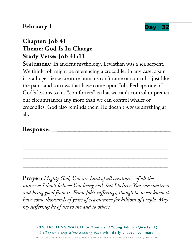#### **February 1 Day** |



#### **Chapter: Job 41 Theme: God Is In Charge Study Verse: Job 41:11**

**Statement:** In ancient mythology, Leviathan was a sea serpent. We think Job might be referencing a crocodile. In any case, again it is a huge, fierce creature humans can't tame or control—just like the pains and sorrows that have come upon Job. Perhaps one of God's lessons to his "comforters" is that we can't control or predict our circumstances any more than we can control whales or crocodiles. God also reminds them He doesn't *owe* us anything at all.

\_\_\_\_\_\_\_\_\_\_\_\_\_\_\_\_\_\_\_\_\_\_\_\_\_\_\_\_\_\_\_\_\_\_\_\_\_\_\_\_\_\_\_\_\_\_\_\_\_\_\_\_\_\_\_\_\_\_\_

\_\_\_\_\_\_\_\_\_\_\_\_\_\_\_\_\_\_\_\_\_\_\_\_\_\_\_\_\_\_\_\_\_\_\_\_\_\_\_\_\_\_\_\_\_\_\_\_\_\_\_\_\_\_\_\_\_\_\_

\_\_\_\_\_\_\_\_\_\_\_\_\_\_\_\_\_\_\_\_\_\_\_\_\_\_\_\_\_\_\_\_\_\_\_\_\_\_\_\_\_\_\_\_\_\_\_\_\_\_\_\_\_\_\_\_\_\_\_

\_\_\_\_\_\_\_\_\_\_\_\_\_\_\_\_\_\_\_\_\_\_\_\_\_\_\_\_\_\_\_\_\_\_\_\_\_\_\_\_\_\_\_\_\_\_\_\_\_\_\_\_\_\_\_\_\_\_\_

#### **Response:** \_\_\_\_\_\_\_\_\_\_\_\_\_\_\_\_\_\_\_\_\_\_\_\_\_\_\_\_\_\_\_\_\_\_\_\_\_\_\_\_\_\_\_\_\_\_\_\_

**Prayer:** *Mighty God, You are Lord of all creation—of all the universe! I don't believe You bring evil, but I believe You can master it and bring good from it. From Job's sufferings, though he never knew it, have come thousands of years of reassurance for billions of people. May my sufferings be of use to me and to others.*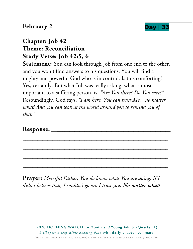#### **February 2 Day | 333 Day | 334 Day | 334 Day | 334 Day | 334 Day | 334 Day | 334 Day | 334 Day | 334 Day | 334 Day | 334 Day | 335 Day | 335 Day | 335 Day | 335 Day | 336 Day | 336 Day | 336 Day | 336 Day | 336 Day | 33**



#### **Chapter: Job 42 Theme: Reconciliation Study Verse: Job 42:5, 6**

**Statement:** You can look through Job from one end to the other, and you won't find answers to his questions. You will find a mighty and powerful God who is in control. Is this comforting? Yes, certainly. But what Job was really asking, what is most important to a suffering person, is, *"Are You there? Do You care?"* Resoundingly, God says, *"I am here. You can trust Me…no matter what! And you can look at the world around you to remind you of that."* 

\_\_\_\_\_\_\_\_\_\_\_\_\_\_\_\_\_\_\_\_\_\_\_\_\_\_\_\_\_\_\_\_\_\_\_\_\_\_\_\_\_\_\_\_\_\_\_\_\_\_\_\_\_\_\_\_\_\_\_

\_\_\_\_\_\_\_\_\_\_\_\_\_\_\_\_\_\_\_\_\_\_\_\_\_\_\_\_\_\_\_\_\_\_\_\_\_\_\_\_\_\_\_\_\_\_\_\_\_\_\_\_\_\_\_\_\_\_\_

\_\_\_\_\_\_\_\_\_\_\_\_\_\_\_\_\_\_\_\_\_\_\_\_\_\_\_\_\_\_\_\_\_\_\_\_\_\_\_\_\_\_\_\_\_\_\_\_\_\_\_\_\_\_\_\_\_\_\_

\_\_\_\_\_\_\_\_\_\_\_\_\_\_\_\_\_\_\_\_\_\_\_\_\_\_\_\_\_\_\_\_\_\_\_\_\_\_\_\_\_\_\_\_\_\_\_\_\_\_\_\_\_\_\_\_\_\_\_

**Response:** \_\_\_\_\_\_\_\_\_\_\_\_\_\_\_\_\_\_\_\_\_\_\_\_\_\_\_\_\_\_\_\_\_\_\_\_\_\_\_\_\_\_\_\_\_\_\_\_

**Prayer:** *Merciful Father, You do know what You are doing. If I didn't believe that, I couldn't go on. I trust you. No matter what!*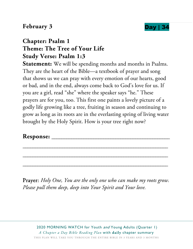#### **February 3 Day | 3**



#### **Chapter: Psalm 1 Theme: The Tree of Your Life Study Verse: Psalm 1:3**

**Statement:** We will be spending months and months in Psalms. They are the heart of the Bible—a textbook of prayer and song that shows us we can pray with every emotion of our hearts, good or bad, and in the end, always come back to God's love for us. If you are a girl, read "she" where the speaker says "he." These prayers are for you, too. This first one paints a lovely picture of a godly life growing like a tree, fruiting in season and continuing to grow as long as its roots are in the everlasting spring of living water brought by the Holy Spirit. How is your tree right now?

#### Response:

Prayer: *Holy One, You are the only one who can make my roots grow. Please pull them deep, deep into Your Spirit and Your love.* 

\_\_\_\_\_\_\_\_\_\_\_\_\_\_\_\_\_\_\_\_\_\_\_\_\_\_\_\_\_\_\_\_\_\_\_\_\_\_\_\_\_\_\_\_\_\_\_\_\_\_\_\_\_\_\_\_\_\_\_

\_\_\_\_\_\_\_\_\_\_\_\_\_\_\_\_\_\_\_\_\_\_\_\_\_\_\_\_\_\_\_\_\_\_\_\_\_\_\_\_\_\_\_\_\_\_\_\_\_\_\_\_\_\_\_\_\_\_\_

\_\_\_\_\_\_\_\_\_\_\_\_\_\_\_\_\_\_\_\_\_\_\_\_\_\_\_\_\_\_\_\_\_\_\_\_\_\_\_\_\_\_\_\_\_\_\_\_\_\_\_\_\_\_\_\_\_\_\_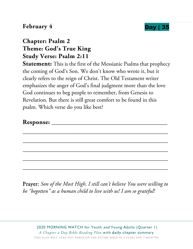#### **February 4 Day** |



#### **Chapter: Psalm 2 Theme: God's True King Study Verse: Psalm 2:11**

**Statement:** This is the first of the Messianic Psalms that prophecy the coming of God's Son. We don't know who wrote it, but it clearly refers to the reign of Christ. The Old Testament writer emphasizes the anger of God's final judgment more than the love God continues to beg people to remember, from Genesis to Revelation. But there is still great comfort to be found in this psalm. Which verse do you like best?

\_\_\_\_\_\_\_\_\_\_\_\_\_\_\_\_\_\_\_\_\_\_\_\_\_\_\_\_\_\_\_\_\_\_\_\_\_\_\_\_\_\_\_\_\_\_\_\_\_\_\_\_\_\_\_\_\_\_\_

\_\_\_\_\_\_\_\_\_\_\_\_\_\_\_\_\_\_\_\_\_\_\_\_\_\_\_\_\_\_\_\_\_\_\_\_\_\_\_\_\_\_\_\_\_\_\_\_\_\_\_\_\_\_\_\_\_\_\_

\_\_\_\_\_\_\_\_\_\_\_\_\_\_\_\_\_\_\_\_\_\_\_\_\_\_\_\_\_\_\_\_\_\_\_\_\_\_\_\_\_\_\_\_\_\_\_\_\_\_\_\_\_\_\_\_\_\_\_

\_\_\_\_\_\_\_\_\_\_\_\_\_\_\_\_\_\_\_\_\_\_\_\_\_\_\_\_\_\_\_\_\_\_\_\_\_\_\_\_\_\_\_\_\_\_\_\_\_\_\_\_\_\_\_\_\_\_\_

\_\_\_\_\_\_\_\_\_\_\_\_\_\_\_\_\_\_\_\_\_\_\_\_\_\_\_\_\_\_\_\_\_\_\_\_\_\_\_\_\_\_\_\_\_\_\_\_\_\_\_\_\_\_\_\_\_\_\_

Prayer: *Son of the Most High, I still can't believe You were willing to be "begotten" as a human child to live with us! I am so grateful!*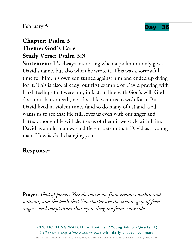

### February 5 **Day | 36**

# **Chapter: Psalm 3 Theme: God's Care Study Verse: Psalm 3:3**

Statement: It's always interesting when a psalm not only gives David's name, but also when he wrote it. This was a sorrowful time for him; his own son turned against him and ended up dying for it. This is also, already, our first example of David praying with harsh feelings that were not, in fact, in line with God's will. God does not shatter teeth, nor does He want us to wish for it! But David lived in violent times (and so do many of us) and God wants us to see that He still loves us even with our anger and hatred, though He will cleanse us of them if we stick with Him. David as an old man was a different person than David as a young man. How is God changing you?

#### **Response:** \_\_\_\_\_\_\_\_\_\_\_\_\_\_\_\_\_\_\_\_\_\_\_\_\_\_\_\_\_\_\_\_\_\_\_\_\_\_\_\_\_\_\_\_\_\_\_\_

Prayer: *God of power, You do rescue me from enemies within and without, and the teeth that You shatter are the vicious grip of fears, angers, and temptations that try to drag me from Your side.* 

\_\_\_\_\_\_\_\_\_\_\_\_\_\_\_\_\_\_\_\_\_\_\_\_\_\_\_\_\_\_\_\_\_\_\_\_\_\_\_\_\_\_\_\_\_\_\_\_\_\_\_\_\_\_\_\_\_\_\_

\_\_\_\_\_\_\_\_\_\_\_\_\_\_\_\_\_\_\_\_\_\_\_\_\_\_\_\_\_\_\_\_\_\_\_\_\_\_\_\_\_\_\_\_\_\_\_\_\_\_\_\_\_\_\_\_\_\_\_

\_\_\_\_\_\_\_\_\_\_\_\_\_\_\_\_\_\_\_\_\_\_\_\_\_\_\_\_\_\_\_\_\_\_\_\_\_\_\_\_\_\_\_\_\_\_\_\_\_\_\_\_\_\_\_\_\_\_\_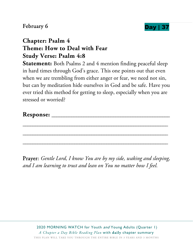## February 6 and 1972 and 1972 and 1972 and 1972 and 1973 and 1974 and 1974 and 1974 and 1974 and 1974 and 1974



## **Chapter: Psalm 4 Theme: How to Deal with Fear Study Verse: Psalm 4:8**

**Statement:** Both Psalms 2 and 4 mention finding peaceful sleep in hard times through God's grace. This one points out that even when we are trembling from either anger or fear, we need not sin, but can by meditation hide ourselves in God and be safe. Have you ever tried this method for getting to sleep, especially when you are stressed or worried?

| Response: |  |
|-----------|--|
|-----------|--|

\_\_\_\_\_\_\_\_\_\_\_\_\_\_\_\_\_\_\_\_\_\_\_\_\_\_\_\_\_\_\_\_\_\_\_\_\_\_\_\_\_\_\_\_\_\_\_\_\_\_\_\_\_\_\_\_\_\_\_

\_\_\_\_\_\_\_\_\_\_\_\_\_\_\_\_\_\_\_\_\_\_\_\_\_\_\_\_\_\_\_\_\_\_\_\_\_\_\_\_\_\_\_\_\_\_\_\_\_\_\_\_\_\_\_\_\_\_\_

\_\_\_\_\_\_\_\_\_\_\_\_\_\_\_\_\_\_\_\_\_\_\_\_\_\_\_\_\_\_\_\_\_\_\_\_\_\_\_\_\_\_\_\_\_\_\_\_\_\_\_\_\_\_\_\_\_\_\_

Prayer: *Gentle Lord, I know You are by my side, waking and sleeping, and I am learning to trust and lean on You no matter how I feel.*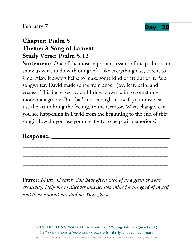## February 7 **Day 138**



## **Chapter: Psalm 5 Theme: A Song of Lament Study Verse: Psalm 5:12**

**Statement:** One of the most important lessons of the psalms is to show us what to do with our grief—like everything else, take it to God! Also, it always helps to make some kind of art out of it. As a songwriter, David made songs from anger, joy, fear, pain, and ecstasy. This increases joy and brings down pain to something more manageable. But that's not enough in itself, you must also use the art to bring the feelings to the Creator. What changes can you see happening in David from the beginning to the end of this song? How do you use your creativity to help with emotions?

#### **Response:** \_\_\_\_\_\_\_\_\_\_\_\_\_\_\_\_\_\_\_\_\_\_\_\_\_\_\_\_\_\_\_\_\_\_\_\_\_\_\_\_\_\_\_\_\_\_\_\_

Prayer: *Master Creator, You have given each of us a germ of Your creativity. Help me to discover and develop mine for the good of myself and those around me, and for Your glory.* 

\_\_\_\_\_\_\_\_\_\_\_\_\_\_\_\_\_\_\_\_\_\_\_\_\_\_\_\_\_\_\_\_\_\_\_\_\_\_\_\_\_\_\_\_\_\_\_\_\_\_\_\_\_\_\_\_\_\_\_

\_\_\_\_\_\_\_\_\_\_\_\_\_\_\_\_\_\_\_\_\_\_\_\_\_\_\_\_\_\_\_\_\_\_\_\_\_\_\_\_\_\_\_\_\_\_\_\_\_\_\_\_\_\_\_\_\_\_\_

\_\_\_\_\_\_\_\_\_\_\_\_\_\_\_\_\_\_\_\_\_\_\_\_\_\_\_\_\_\_\_\_\_\_\_\_\_\_\_\_\_\_\_\_\_\_\_\_\_\_\_\_\_\_\_\_\_\_\_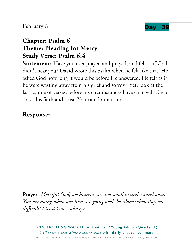## February 8 **Day | 39**



## **Chapter: Psalm 6 Theme: Pleading for Mercy Study Verse: Psalm 6:4**

**Statement:** Have you ever prayed and prayed, and felt as if God didn't hear you? David wrote this psalm when he felt like that. He asked God how long it would be before He answered. He felt as if he were wasting away from his grief and sorrow. Yet, look at the last couple of verses: before his circumstances have changed, David states his faith and trust. You can do that, too.

| <b>Response:</b> |  |  |  |
|------------------|--|--|--|
|                  |  |  |  |
|                  |  |  |  |
|                  |  |  |  |

\_\_\_\_\_\_\_\_\_\_\_\_\_\_\_\_\_\_\_\_\_\_\_\_\_\_\_\_\_\_\_\_\_\_\_\_\_\_\_\_\_\_\_\_\_\_\_\_\_\_\_\_\_\_\_\_\_\_\_

\_\_\_\_\_\_\_\_\_\_\_\_\_\_\_\_\_\_\_\_\_\_\_\_\_\_\_\_\_\_\_\_\_\_\_\_\_\_\_\_\_\_\_\_\_\_\_\_\_\_\_\_\_\_\_\_\_\_\_

\_\_\_\_\_\_\_\_\_\_\_\_\_\_\_\_\_\_\_\_\_\_\_\_\_\_\_\_\_\_\_\_\_\_\_\_\_\_\_\_\_\_\_\_\_\_\_\_\_\_\_\_\_\_\_\_\_\_\_

\_\_\_\_\_\_\_\_\_\_\_\_\_\_\_\_\_\_\_\_\_\_\_\_\_\_\_\_\_\_\_\_\_\_\_\_\_\_\_\_\_\_\_\_\_\_\_\_\_\_\_\_\_\_\_\_\_\_\_

\_\_\_\_\_\_\_\_\_\_\_\_\_\_\_\_\_\_\_\_\_\_\_\_\_\_\_\_\_\_\_\_\_\_\_\_\_\_\_\_\_\_\_\_\_\_\_\_\_\_\_\_\_\_\_\_\_\_\_

\_\_\_\_\_\_\_\_\_\_\_\_\_\_\_\_\_\_\_\_\_\_\_\_\_\_\_\_\_\_\_\_\_\_\_\_\_\_\_\_\_\_\_\_\_\_\_\_\_\_\_\_\_\_\_\_\_\_\_

Prayer: *Merciful God, we humans are too small to understand what You are doing when our lives are going well, let alone when they are difficult! I trust You—always!*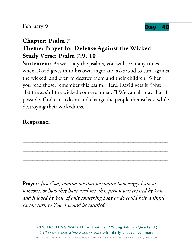### February 9 **Day 140**



## **Chapter: Psalm 7 Theme: Prayer for Defense Against the Wicked Study Verse: Psalm 7:9, 10**

**Statement:** As we study the psalms, you will see many times when David gives in to his own anger and asks God to turn against the wicked, and even to destroy them and their children. When you read those, remember this psalm. Here, David gets it right: "let the *evil* of the wicked come to an end"! We can all pray that if possible, God can redeem and change the people themselves, while destroying their wickedness.

\_\_\_\_\_\_\_\_\_\_\_\_\_\_\_\_\_\_\_\_\_\_\_\_\_\_\_\_\_\_\_\_\_\_\_\_\_\_\_\_\_\_\_\_\_\_\_\_\_\_\_\_\_\_\_\_\_\_\_

\_\_\_\_\_\_\_\_\_\_\_\_\_\_\_\_\_\_\_\_\_\_\_\_\_\_\_\_\_\_\_\_\_\_\_\_\_\_\_\_\_\_\_\_\_\_\_\_\_\_\_\_\_\_\_\_\_\_\_

\_\_\_\_\_\_\_\_\_\_\_\_\_\_\_\_\_\_\_\_\_\_\_\_\_\_\_\_\_\_\_\_\_\_\_\_\_\_\_\_\_\_\_\_\_\_\_\_\_\_\_\_\_\_\_\_\_\_\_

\_\_\_\_\_\_\_\_\_\_\_\_\_\_\_\_\_\_\_\_\_\_\_\_\_\_\_\_\_\_\_\_\_\_\_\_\_\_\_\_\_\_\_\_\_\_\_\_\_\_\_\_\_\_\_\_\_\_\_

\_\_\_\_\_\_\_\_\_\_\_\_\_\_\_\_\_\_\_\_\_\_\_\_\_\_\_\_\_\_\_\_\_\_\_\_\_\_\_\_\_\_\_\_\_\_\_\_\_\_\_\_\_\_\_\_\_\_\_

Prayer: *Just God, remind me that no matter how angry I am at someone, or how they have used me, that person was created by You and is loved by You. If only something I say or do could help a sinful person turn to You, I would be satisfied.*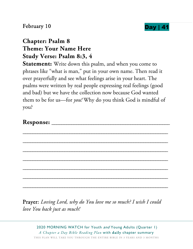



# **Chapter: Psalm 8 Theme: Your Name Here Study Verse: Psalm 8:3, 4**

**Statement:** Write down this psalm, and when you come to phrases like "what is man," put in your own name. Then read it over prayerfully and see what feelings arise in your heart. The psalms were written by real people expressing real feelings (good and bad) but we have the collection now because God wanted them to be for us—for *you!* Why do you think God is mindful of you?

| m<br><b>Response:</b> |  |
|-----------------------|--|
|-----------------------|--|

\_\_\_\_\_\_\_\_\_\_\_\_\_\_\_\_\_\_\_\_\_\_\_\_\_\_\_\_\_\_\_\_\_\_\_\_\_\_\_\_\_\_\_\_\_\_\_\_\_\_\_\_\_\_\_\_\_\_\_

\_\_\_\_\_\_\_\_\_\_\_\_\_\_\_\_\_\_\_\_\_\_\_\_\_\_\_\_\_\_\_\_\_\_\_\_\_\_\_\_\_\_\_\_\_\_\_\_\_\_\_\_\_\_\_\_\_\_\_

\_\_\_\_\_\_\_\_\_\_\_\_\_\_\_\_\_\_\_\_\_\_\_\_\_\_\_\_\_\_\_\_\_\_\_\_\_\_\_\_\_\_\_\_\_\_\_\_\_\_\_\_\_\_\_\_\_\_\_

\_\_\_\_\_\_\_\_\_\_\_\_\_\_\_\_\_\_\_\_\_\_\_\_\_\_\_\_\_\_\_\_\_\_\_\_\_\_\_\_\_\_\_\_\_\_\_\_\_\_\_\_\_\_\_\_\_\_\_

\_\_\_\_\_\_\_\_\_\_\_\_\_\_\_\_\_\_\_\_\_\_\_\_\_\_\_\_\_\_\_\_\_\_\_\_\_\_\_\_\_\_\_\_\_\_\_\_\_\_\_\_\_\_\_\_\_\_\_

\_\_\_\_\_\_\_\_\_\_\_\_\_\_\_\_\_\_\_\_\_\_\_\_\_\_\_\_\_\_\_\_\_\_\_\_\_\_\_\_\_\_\_\_\_\_\_\_\_\_\_\_\_\_\_\_\_\_\_

\_\_\_\_\_\_\_\_\_\_\_\_\_\_\_\_\_\_\_\_\_\_\_\_\_\_\_\_\_\_\_\_\_\_\_\_\_\_\_\_\_\_\_\_\_\_\_\_\_\_\_\_\_\_\_\_\_\_\_

Prayer: *Loving Lord, why do You love me so much? I wish I could love You back just as much!*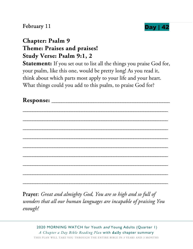## February 11 **Day | 4**



## **Chapter: Psalm 9 Theme: Praises and praises! Study Verse: Psalm 9:1, 2**

**Statement:** If you set out to list all the things you praise God for, your psalm, like this one, would be pretty long! As you read it, think about which parts most apply to your life and your heart. What things could you add to this psalm, to praise God for?

**Response:** \_\_\_\_\_\_\_\_\_\_\_\_\_\_\_\_\_\_\_\_\_\_\_\_\_\_\_\_\_\_\_\_\_\_\_\_\_\_\_\_\_\_\_\_\_\_\_\_



Prayer: *Great and almighty God, You are so high and so full of wonders that all our human languages are incapable of praising You enough!*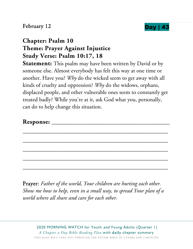### February 12



## **Chapter: Psalm 10 Theme: Prayer Against Injustice Study Verse: Psalm 10:17, 18**

**Statement:** This psalm may have been written by David or by someone else. Almost everybody has felt this way at one time or another. Have you? *Why* do the wicked seem to get away with all kinds of cruelty and oppression? *Why* do the widows, orphans, displaced people, and other vulnerable ones seem to constantly get treated badly? While you're at it, ask God what you, personally, can do to help change this situation.

| г<br><b>Response:</b> |  |
|-----------------------|--|
|                       |  |

\_\_\_\_\_\_\_\_\_\_\_\_\_\_\_\_\_\_\_\_\_\_\_\_\_\_\_\_\_\_\_\_\_\_\_\_\_\_\_\_\_\_\_\_\_\_\_\_\_\_\_\_\_\_\_\_\_\_\_

\_\_\_\_\_\_\_\_\_\_\_\_\_\_\_\_\_\_\_\_\_\_\_\_\_\_\_\_\_\_\_\_\_\_\_\_\_\_\_\_\_\_\_\_\_\_\_\_\_\_\_\_\_\_\_\_\_\_\_

\_\_\_\_\_\_\_\_\_\_\_\_\_\_\_\_\_\_\_\_\_\_\_\_\_\_\_\_\_\_\_\_\_\_\_\_\_\_\_\_\_\_\_\_\_\_\_\_\_\_\_\_\_\_\_\_\_\_\_

\_\_\_\_\_\_\_\_\_\_\_\_\_\_\_\_\_\_\_\_\_\_\_\_\_\_\_\_\_\_\_\_\_\_\_\_\_\_\_\_\_\_\_\_\_\_\_\_\_\_\_\_\_\_\_\_\_\_\_

\_\_\_\_\_\_\_\_\_\_\_\_\_\_\_\_\_\_\_\_\_\_\_\_\_\_\_\_\_\_\_\_\_\_\_\_\_\_\_\_\_\_\_\_\_\_\_\_\_\_\_\_\_\_\_\_\_\_\_

Prayer: *Father of the world, Your children are hurting each other. Show me how to help, even in a small way, to spread Your plan of a world where all share and care for each other.*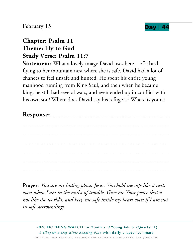

#### February 13

## **Chapter: Psalm 11 Theme: Fly to God Study Verse: Psalm 11:7**

**Statement:** What a lovely image David uses here—of a bird flying to her mountain nest where she is safe. David had a lot of chances to feel unsafe and hunted. He spent his entire young manhood running from King Saul, and then when he became king, he still had several wars, and even ended up in conflict with his own son! Where does David say his refuge is? Where is yours?

| Response: |  |
|-----------|--|
|-----------|--|

\_\_\_\_\_\_\_\_\_\_\_\_\_\_\_\_\_\_\_\_\_\_\_\_\_\_\_\_\_\_\_\_\_\_\_\_\_\_\_\_\_\_\_\_\_\_\_\_\_\_\_\_\_\_\_\_\_\_\_

\_\_\_\_\_\_\_\_\_\_\_\_\_\_\_\_\_\_\_\_\_\_\_\_\_\_\_\_\_\_\_\_\_\_\_\_\_\_\_\_\_\_\_\_\_\_\_\_\_\_\_\_\_\_\_\_\_\_\_

\_\_\_\_\_\_\_\_\_\_\_\_\_\_\_\_\_\_\_\_\_\_\_\_\_\_\_\_\_\_\_\_\_\_\_\_\_\_\_\_\_\_\_\_\_\_\_\_\_\_\_\_\_\_\_\_\_\_\_

\_\_\_\_\_\_\_\_\_\_\_\_\_\_\_\_\_\_\_\_\_\_\_\_\_\_\_\_\_\_\_\_\_\_\_\_\_\_\_\_\_\_\_\_\_\_\_\_\_\_\_\_\_\_\_\_\_\_\_

\_\_\_\_\_\_\_\_\_\_\_\_\_\_\_\_\_\_\_\_\_\_\_\_\_\_\_\_\_\_\_\_\_\_\_\_\_\_\_\_\_\_\_\_\_\_\_\_\_\_\_\_\_\_\_\_\_\_\_

\_\_\_\_\_\_\_\_\_\_\_\_\_\_\_\_\_\_\_\_\_\_\_\_\_\_\_\_\_\_\_\_\_\_\_\_\_\_\_\_\_\_\_\_\_\_\_\_\_\_\_\_\_\_\_\_\_\_\_

Prayer: *You are my hiding place, Jesus. You hold me safe like a nest, even when I am in the midst of trouble. Give me Your peace that is not like the world's, and keep me safe inside my heart even if I am not in safe surroundings.*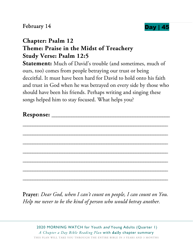## February  $14$  Day | 4



# **Chapter: Psalm 12 Theme: Praise in the Midst of Treachery Study Verse: Psalm 12:5**

**Statement:** Much of David's trouble (and sometimes, much of ours, too) comes from people betraying our trust or being deceitful. It must have been hard for David to hold onto his faith and trust in God when he was betrayed on every side by those who should have been his friends. Perhaps writing and singing these songs helped him to stay focused. What helps you?

Prayer: *Dear God, when I can't count on people, I can count on You. Help me never to be the kind of person who would betray another.*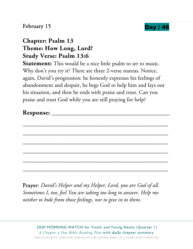### February 15



## **Chapter: Psalm 13 Theme: How Long, Lord? Study Verse: Psalm 13:6**

**Statement:** This would be a nice little psalm to set to music. Why don't you try it? There are three 2-verse stanzas. Notice, again, David's progression: he honestly expresses his feelings of abandonment and despair, he begs God to help him and lays out his situation, and then he ends with praise and trust. Can you praise and trust God while you are still praying for help?

| Response: |  |
|-----------|--|
|-----------|--|

\_\_\_\_\_\_\_\_\_\_\_\_\_\_\_\_\_\_\_\_\_\_\_\_\_\_\_\_\_\_\_\_\_\_\_\_\_\_\_\_\_\_\_\_\_\_\_\_\_\_\_\_\_\_\_\_\_\_\_

\_\_\_\_\_\_\_\_\_\_\_\_\_\_\_\_\_\_\_\_\_\_\_\_\_\_\_\_\_\_\_\_\_\_\_\_\_\_\_\_\_\_\_\_\_\_\_\_\_\_\_\_\_\_\_\_\_\_\_

\_\_\_\_\_\_\_\_\_\_\_\_\_\_\_\_\_\_\_\_\_\_\_\_\_\_\_\_\_\_\_\_\_\_\_\_\_\_\_\_\_\_\_\_\_\_\_\_\_\_\_\_\_\_\_\_\_\_\_

\_\_\_\_\_\_\_\_\_\_\_\_\_\_\_\_\_\_\_\_\_\_\_\_\_\_\_\_\_\_\_\_\_\_\_\_\_\_\_\_\_\_\_\_\_\_\_\_\_\_\_\_\_\_\_\_\_\_\_

\_\_\_\_\_\_\_\_\_\_\_\_\_\_\_\_\_\_\_\_\_\_\_\_\_\_\_\_\_\_\_\_\_\_\_\_\_\_\_\_\_\_\_\_\_\_\_\_\_\_\_\_\_\_\_\_\_\_\_

\_\_\_\_\_\_\_\_\_\_\_\_\_\_\_\_\_\_\_\_\_\_\_\_\_\_\_\_\_\_\_\_\_\_\_\_\_\_\_\_\_\_\_\_\_\_\_\_\_\_\_\_\_\_\_\_\_\_\_

Prayer: *David's Helper and my Helper, Lord, you are God of all. Sometimes I, too, feel You are taking too long to answer. Help me neither to hide from those feelings, nor to give in to them.*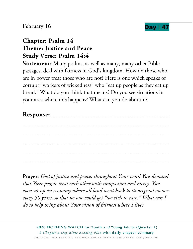## February 16



## **Chapter: Psalm 14 Theme: Justice and Peace Study Verse: Psalm 14:4**

**Statement:** Many psalms, as well as many, many other Bible passages, deal with fairness in God's kingdom. How do those who are in power treat those who are not? Here is one which speaks of corrupt "workers of wickedness" who "eat up people as they eat up bread." What do you think that means? Do you see situations in your area where this happens? What can you do about it?

| m<br><b>Response:</b> |  |
|-----------------------|--|
|-----------------------|--|

\_\_\_\_\_\_\_\_\_\_\_\_\_\_\_\_\_\_\_\_\_\_\_\_\_\_\_\_\_\_\_\_\_\_\_\_\_\_\_\_\_\_\_\_\_\_\_\_\_\_\_\_\_\_\_\_\_\_\_

\_\_\_\_\_\_\_\_\_\_\_\_\_\_\_\_\_\_\_\_\_\_\_\_\_\_\_\_\_\_\_\_\_\_\_\_\_\_\_\_\_\_\_\_\_\_\_\_\_\_\_\_\_\_\_\_\_\_\_

\_\_\_\_\_\_\_\_\_\_\_\_\_\_\_\_\_\_\_\_\_\_\_\_\_\_\_\_\_\_\_\_\_\_\_\_\_\_\_\_\_\_\_\_\_\_\_\_\_\_\_\_\_\_\_\_\_\_\_

\_\_\_\_\_\_\_\_\_\_\_\_\_\_\_\_\_\_\_\_\_\_\_\_\_\_\_\_\_\_\_\_\_\_\_\_\_\_\_\_\_\_\_\_\_\_\_\_\_\_\_\_\_\_\_\_\_\_\_

\_\_\_\_\_\_\_\_\_\_\_\_\_\_\_\_\_\_\_\_\_\_\_\_\_\_\_\_\_\_\_\_\_\_\_\_\_\_\_\_\_\_\_\_\_\_\_\_\_\_\_\_\_\_\_\_\_\_\_

Prayer: *God of justice and peace, throughout Your word You demand that Your people treat each other with compassion and mercy. You even set up an economy where all land went back to its original owners every 50 years, so that no one could get "too rich to care." What can I do to help bring about Your vision of fairness where I live?*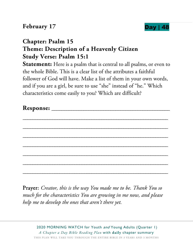

## **Chapter: Psalm 15 Theme: Description of a Heavenly Citizen Study Verse: Psalm 15:1**

**Statement:** Here is a psalm that is central to all psalms, or even to the whole Bible. This is a clear list of the attributes a faithful follower of God will have. Make a list of them in your own words, and if you are a girl, be sure to use "she" instead of "he." Which characteristics come easily to you? Which are difficult?

Prayer: *Creator, this is the way You made me to be. Thank You so much for the characteristics You are growing in me now, and please help me to develop the ones that aren't there yet.*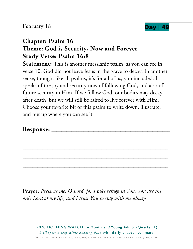

# **Chapter: Psalm 16 Theme: God is Security, Now and Forever Study Verse: Psalm 16:8**

**Statement:** This is another messianic psalm, as you can see in verse 10. God did not leave Jesus in the grave to decay. In another sense, though, like all psalms, it's for all of us, you included. It speaks of the joy and security now of following God, and also of future security in Him. If we follow God, our bodies may decay after death, but we will still be raised to live forever with Him. Choose your favorite bit of this psalm to write down, illustrate, and put up where you can see it.

\_\_\_\_\_\_\_\_\_\_\_\_\_\_\_\_\_\_\_\_\_\_\_\_\_\_\_\_\_\_\_\_\_\_\_\_\_\_\_\_\_\_\_\_\_\_\_\_\_\_\_\_\_\_\_\_\_\_\_

\_\_\_\_\_\_\_\_\_\_\_\_\_\_\_\_\_\_\_\_\_\_\_\_\_\_\_\_\_\_\_\_\_\_\_\_\_\_\_\_\_\_\_\_\_\_\_\_\_\_\_\_\_\_\_\_\_\_\_

\_\_\_\_\_\_\_\_\_\_\_\_\_\_\_\_\_\_\_\_\_\_\_\_\_\_\_\_\_\_\_\_\_\_\_\_\_\_\_\_\_\_\_\_\_\_\_\_\_\_\_\_\_\_\_\_\_\_\_

\_\_\_\_\_\_\_\_\_\_\_\_\_\_\_\_\_\_\_\_\_\_\_\_\_\_\_\_\_\_\_\_\_\_\_\_\_\_\_\_\_\_\_\_\_\_\_\_\_\_\_\_\_\_\_\_\_\_\_

\_\_\_\_\_\_\_\_\_\_\_\_\_\_\_\_\_\_\_\_\_\_\_\_\_\_\_\_\_\_\_\_\_\_\_\_\_\_\_\_\_\_\_\_\_\_\_\_\_\_\_\_\_\_\_\_\_\_\_

#### **Response:** \_\_\_\_\_\_\_\_\_\_\_\_\_\_\_\_\_\_\_\_\_\_\_\_\_\_\_\_\_\_\_\_\_\_\_\_\_\_\_\_\_\_\_\_\_\_\_\_

Prayer: *Preserve me, O Lord, for I take refuge in You. You are the only Lord of my life, and I trust You to stay with me always.*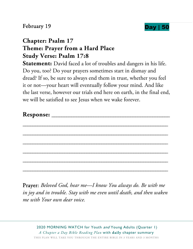February 19 **Day 150** 



## **Chapter: Psalm 17 Theme: Prayer from a Hard Place Study Verse: Psalm 17:8**

**Statement:** David faced a lot of troubles and dangers in his life. Do you, too? Do your prayers sometimes start in dismay and dread? If so, be sure to always end them in trust, whether you feel it or not—your heart will eventually follow your mind. And like the last verse, however our trials end here on earth, in the final end, we will be satisfied to see Jesus when we wake forever.

| <b>Response:</b> |  |
|------------------|--|
|                  |  |
|                  |  |

\_\_\_\_\_\_\_\_\_\_\_\_\_\_\_\_\_\_\_\_\_\_\_\_\_\_\_\_\_\_\_\_\_\_\_\_\_\_\_\_\_\_\_\_\_\_\_\_\_\_\_\_\_\_\_\_\_\_\_

\_\_\_\_\_\_\_\_\_\_\_\_\_\_\_\_\_\_\_\_\_\_\_\_\_\_\_\_\_\_\_\_\_\_\_\_\_\_\_\_\_\_\_\_\_\_\_\_\_\_\_\_\_\_\_\_\_\_\_

\_\_\_\_\_\_\_\_\_\_\_\_\_\_\_\_\_\_\_\_\_\_\_\_\_\_\_\_\_\_\_\_\_\_\_\_\_\_\_\_\_\_\_\_\_\_\_\_\_\_\_\_\_\_\_\_\_\_\_

\_\_\_\_\_\_\_\_\_\_\_\_\_\_\_\_\_\_\_\_\_\_\_\_\_\_\_\_\_\_\_\_\_\_\_\_\_\_\_\_\_\_\_\_\_\_\_\_\_\_\_\_\_\_\_\_\_\_\_

\_\_\_\_\_\_\_\_\_\_\_\_\_\_\_\_\_\_\_\_\_\_\_\_\_\_\_\_\_\_\_\_\_\_\_\_\_\_\_\_\_\_\_\_\_\_\_\_\_\_\_\_\_\_\_\_\_\_\_

Prayer: *Beloved God, hear me—I know You always do. Be with me in joy and in trouble. Stay with me even until death, and then waken me with Your own dear voice.*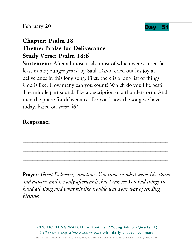



## **Chapter: Psalm 18 Theme: Praise for Deliverance Study Verse: Psalm 18:6**

**Statement:** After all those trials, most of which were caused (at least in his younger years) by Saul, David cried out his joy at deliverance in this long song. First, there is a long list of things God is like. How many can you count? Which do you like best? The middle part sounds like a description of a thunderstorm. And then the praise for deliverance. Do you know the song we have today, based on verse 46?

\_\_\_\_\_\_\_\_\_\_\_\_\_\_\_\_\_\_\_\_\_\_\_\_\_\_\_\_\_\_\_\_\_\_\_\_\_\_\_\_\_\_\_\_\_\_\_\_\_\_\_\_\_\_\_\_\_\_\_

\_\_\_\_\_\_\_\_\_\_\_\_\_\_\_\_\_\_\_\_\_\_\_\_\_\_\_\_\_\_\_\_\_\_\_\_\_\_\_\_\_\_\_\_\_\_\_\_\_\_\_\_\_\_\_\_\_\_\_

\_\_\_\_\_\_\_\_\_\_\_\_\_\_\_\_\_\_\_\_\_\_\_\_\_\_\_\_\_\_\_\_\_\_\_\_\_\_\_\_\_\_\_\_\_\_\_\_\_\_\_\_\_\_\_\_\_\_\_

\_\_\_\_\_\_\_\_\_\_\_\_\_\_\_\_\_\_\_\_\_\_\_\_\_\_\_\_\_\_\_\_\_\_\_\_\_\_\_\_\_\_\_\_\_\_\_\_\_\_\_\_\_\_\_\_\_\_\_

#### **Response:** \_\_\_\_\_\_\_\_\_\_\_\_\_\_\_\_\_\_\_\_\_\_\_\_\_\_\_\_\_\_\_\_\_\_\_\_\_\_\_\_\_\_\_\_\_\_\_\_

Prayer: *Great Deliverer, sometimes You come in what seems like storm and danger, and it's only afterwards that I can see You had things in hand all along and what felt like trouble was Your way of sending blessing.*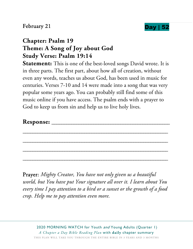### February 21 **Day | 5**



## **Chapter: Psalm 19 Theme: A Song of Joy about God Study Verse: Psalm 19:14**

**Statement:** This is one of the best-loved songs David wrote. It is in three parts. The first part, about how all of creation, without even any words, teaches us about God, has been used in music for centuries. Verses 7-10 and 14 were made into a song that was very popular some years ago. You can probably still find some of this music online if you have access. The psalm ends with a prayer to God to keep us from sin and help us to live holy lives.

| <b>Response:</b> |  |
|------------------|--|
|------------------|--|

\_\_\_\_\_\_\_\_\_\_\_\_\_\_\_\_\_\_\_\_\_\_\_\_\_\_\_\_\_\_\_\_\_\_\_\_\_\_\_\_\_\_\_\_\_\_\_\_\_\_\_\_\_\_\_\_\_\_\_

\_\_\_\_\_\_\_\_\_\_\_\_\_\_\_\_\_\_\_\_\_\_\_\_\_\_\_\_\_\_\_\_\_\_\_\_\_\_\_\_\_\_\_\_\_\_\_\_\_\_\_\_\_\_\_\_\_\_\_

\_\_\_\_\_\_\_\_\_\_\_\_\_\_\_\_\_\_\_\_\_\_\_\_\_\_\_\_\_\_\_\_\_\_\_\_\_\_\_\_\_\_\_\_\_\_\_\_\_\_\_\_\_\_\_\_\_\_\_

\_\_\_\_\_\_\_\_\_\_\_\_\_\_\_\_\_\_\_\_\_\_\_\_\_\_\_\_\_\_\_\_\_\_\_\_\_\_\_\_\_\_\_\_\_\_\_\_\_\_\_\_\_\_\_\_\_\_\_

Prayer: *Mighty Creator, You have not only given us a beautiful world, but You have put Your signature all over it. I learn about You every time I pay attention to a bird or a sunset or the growth of a food crop. Help me to pay attention even more.*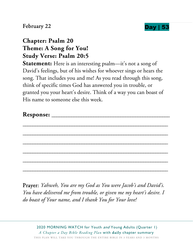### February 22 **Day** |



## **Chapter: Psalm 20 Theme: A Song for You! Study Verse: Psalm 20:5**

Statement: Here is an interesting psalm-it's not a song of David's feelings, but of his wishes for whoever sings or hears the song. That includes you and me! As you read through this song, think of specific times God has answered you in trouble, or granted you your heart's desire. Think of a way you can boast of His name to someone else this week.

| <b>Response:</b> |  |
|------------------|--|
|                  |  |

\_\_\_\_\_\_\_\_\_\_\_\_\_\_\_\_\_\_\_\_\_\_\_\_\_\_\_\_\_\_\_\_\_\_\_\_\_\_\_\_\_\_\_\_\_\_\_\_\_\_\_\_\_\_\_\_\_\_\_

\_\_\_\_\_\_\_\_\_\_\_\_\_\_\_\_\_\_\_\_\_\_\_\_\_\_\_\_\_\_\_\_\_\_\_\_\_\_\_\_\_\_\_\_\_\_\_\_\_\_\_\_\_\_\_\_\_\_\_

\_\_\_\_\_\_\_\_\_\_\_\_\_\_\_\_\_\_\_\_\_\_\_\_\_\_\_\_\_\_\_\_\_\_\_\_\_\_\_\_\_\_\_\_\_\_\_\_\_\_\_\_\_\_\_\_\_\_\_

\_\_\_\_\_\_\_\_\_\_\_\_\_\_\_\_\_\_\_\_\_\_\_\_\_\_\_\_\_\_\_\_\_\_\_\_\_\_\_\_\_\_\_\_\_\_\_\_\_\_\_\_\_\_\_\_\_\_\_

\_\_\_\_\_\_\_\_\_\_\_\_\_\_\_\_\_\_\_\_\_\_\_\_\_\_\_\_\_\_\_\_\_\_\_\_\_\_\_\_\_\_\_\_\_\_\_\_\_\_\_\_\_\_\_\_\_\_\_

\_\_\_\_\_\_\_\_\_\_\_\_\_\_\_\_\_\_\_\_\_\_\_\_\_\_\_\_\_\_\_\_\_\_\_\_\_\_\_\_\_\_\_\_\_\_\_\_\_\_\_\_\_\_\_\_\_\_\_

Prayer: *Yahweh, You are my God as You were Jacob's and David's. You have delivered me from trouble, or given me my heart's desire. I do boast of Your name, and I thank You for Your love!*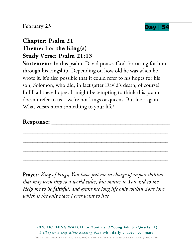



## **Chapter: Psalm 21 Theme: For the King(s) Study Verse: Psalm 21:13**

**Statement:** In this psalm, David praises God for caring for him through his kingship. Depending on how old he was when he wrote it, it's also possible that it could refer to his hopes for his son, Solomon, who did, in fact (after David's death, of course) fulfill all these hopes. It might be tempting to think this psalm doesn't refer to us—we're not kings or queens! But look again. What verses mean something to your life?

\_\_\_\_\_\_\_\_\_\_\_\_\_\_\_\_\_\_\_\_\_\_\_\_\_\_\_\_\_\_\_\_\_\_\_\_\_\_\_\_\_\_\_\_\_\_\_\_\_\_\_\_\_\_\_\_\_\_\_

\_\_\_\_\_\_\_\_\_\_\_\_\_\_\_\_\_\_\_\_\_\_\_\_\_\_\_\_\_\_\_\_\_\_\_\_\_\_\_\_\_\_\_\_\_\_\_\_\_\_\_\_\_\_\_\_\_\_\_

\_\_\_\_\_\_\_\_\_\_\_\_\_\_\_\_\_\_\_\_\_\_\_\_\_\_\_\_\_\_\_\_\_\_\_\_\_\_\_\_\_\_\_\_\_\_\_\_\_\_\_\_\_\_\_\_\_\_\_

\_\_\_\_\_\_\_\_\_\_\_\_\_\_\_\_\_\_\_\_\_\_\_\_\_\_\_\_\_\_\_\_\_\_\_\_\_\_\_\_\_\_\_\_\_\_\_\_\_\_\_\_\_\_\_\_\_\_\_

#### **Response:** \_\_\_\_\_\_\_\_\_\_\_\_\_\_\_\_\_\_\_\_\_\_\_\_\_\_\_\_\_\_\_\_\_\_\_\_\_\_\_\_\_\_\_\_\_\_\_\_

Prayer: *King of kings, You have put me in charge of responsibilities that may seem tiny to a world ruler, but matter to You and to me. Help me to be faithful, and grant me long life only within Your love, which is the only place I ever want to live.*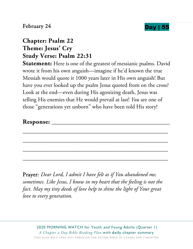



# **Chapter: Psalm 22 Theme: Jesus' Cry Study Verse: Psalm 22:31**

**Statement:** Here is one of the greatest of messianic psalms. David wrote it from his own anguish—imagine if he'd known the true Messiah would quote it 1000 years later in His own anguish! But have you ever looked up the psalm Jesus quoted from on the cross? Look at the end—even during His agonizing death, Jesus was telling His enemies that He would prevail at last! *You* are one of those "generations yet unborn" who have been told His story!

## **Response:** \_\_\_\_\_\_\_\_\_\_\_\_\_\_\_\_\_\_\_\_\_\_\_\_\_\_\_\_\_\_\_\_\_\_\_\_\_\_\_\_\_\_\_\_\_\_\_\_

\_\_\_\_\_\_\_\_\_\_\_\_\_\_\_\_\_\_\_\_\_\_\_\_\_\_\_\_\_\_\_\_\_\_\_\_\_\_\_\_\_\_\_\_\_\_\_\_\_\_\_\_\_\_\_\_\_\_\_

\_\_\_\_\_\_\_\_\_\_\_\_\_\_\_\_\_\_\_\_\_\_\_\_\_\_\_\_\_\_\_\_\_\_\_\_\_\_\_\_\_\_\_\_\_\_\_\_\_\_\_\_\_\_\_\_\_\_\_

\_\_\_\_\_\_\_\_\_\_\_\_\_\_\_\_\_\_\_\_\_\_\_\_\_\_\_\_\_\_\_\_\_\_\_\_\_\_\_\_\_\_\_\_\_\_\_\_\_\_\_\_\_\_\_\_\_\_\_

\_\_\_\_\_\_\_\_\_\_\_\_\_\_\_\_\_\_\_\_\_\_\_\_\_\_\_\_\_\_\_\_\_\_\_\_\_\_\_\_\_\_\_\_\_\_\_\_\_\_\_\_\_\_\_\_\_\_\_

Prayer: *Dear Lord, I admit I have felt as if You abandoned me, sometimes. Like Jesus, I know in my heart that the feeling is not the fact. May my tiny deeds of love help to shine the light of Your great love to every generation.*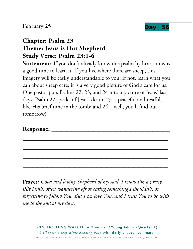## February 25 **Day | 56**



# **Chapter: Psalm 23 Theme: Jesus is Our Shepherd Study Verse: Psalm 23:1-6**

**Statement:** If you don't already know this psalm by heart, now is a good time to learn it. If you live where there are sheep, this imagery will be easily understandable to you. If not, learn what you can about sheep care; it is a very good picture of God's care for us. One pastor puts Psalms 22, 23, and 24 into a picture of Jesus' last days. Psalm 22 speaks of Jesus' death; 23 is peaceful and restful, like His brief time in the tomb; and 24—well, you'll find out tomorrow!

**Response:** \_\_\_\_\_\_\_\_\_\_\_\_\_\_\_\_\_\_\_\_\_\_\_\_\_\_\_\_\_\_\_\_\_\_\_\_\_\_\_\_\_\_\_\_\_\_\_\_

Prayer: *Good and loving Shepherd of my soul, I know I'm a pretty silly lamb, often wandering off or eating something I shouldn't, or forgetting to follow You. But I* do *love You, and I trust You to be with me to the end of my days.* 

\_\_\_\_\_\_\_\_\_\_\_\_\_\_\_\_\_\_\_\_\_\_\_\_\_\_\_\_\_\_\_\_\_\_\_\_\_\_\_\_\_\_\_\_\_\_\_\_\_\_\_\_\_\_\_\_\_\_\_

\_\_\_\_\_\_\_\_\_\_\_\_\_\_\_\_\_\_\_\_\_\_\_\_\_\_\_\_\_\_\_\_\_\_\_\_\_\_\_\_\_\_\_\_\_\_\_\_\_\_\_\_\_\_\_\_\_\_\_

\_\_\_\_\_\_\_\_\_\_\_\_\_\_\_\_\_\_\_\_\_\_\_\_\_\_\_\_\_\_\_\_\_\_\_\_\_\_\_\_\_\_\_\_\_\_\_\_\_\_\_\_\_\_\_\_\_\_\_

\_\_\_\_\_\_\_\_\_\_\_\_\_\_\_\_\_\_\_\_\_\_\_\_\_\_\_\_\_\_\_\_\_\_\_\_\_\_\_\_\_\_\_\_\_\_\_\_\_\_\_\_\_\_\_\_\_\_\_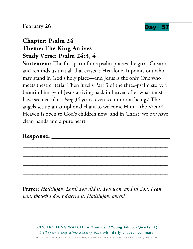



# **Chapter: Psalm 24 Theme: The King Arrives Study Verse: Psalm 24:3, 4**

**Statement:** The first part of this psalm praises the great Creator and reminds us that all that exists is His alone. It points out who may stand in God's holy place—and Jesus is the only One who meets these criteria. Then it tells Part 3 of the three-psalm story: a beautiful image of Jesus arriving back in heaven after what must have seemed like a *long* 34 years, even to immortal beings! The angels set up an antiphonal chant to welcome Him—the Victor! Heaven is open to God's children now, and in Christ, we *can* have clean hands and a pure heart!

\_\_\_\_\_\_\_\_\_\_\_\_\_\_\_\_\_\_\_\_\_\_\_\_\_\_\_\_\_\_\_\_\_\_\_\_\_\_\_\_\_\_\_\_\_\_\_\_\_\_\_\_\_\_\_\_\_\_\_

\_\_\_\_\_\_\_\_\_\_\_\_\_\_\_\_\_\_\_\_\_\_\_\_\_\_\_\_\_\_\_\_\_\_\_\_\_\_\_\_\_\_\_\_\_\_\_\_\_\_\_\_\_\_\_\_\_\_\_

\_\_\_\_\_\_\_\_\_\_\_\_\_\_\_\_\_\_\_\_\_\_\_\_\_\_\_\_\_\_\_\_\_\_\_\_\_\_\_\_\_\_\_\_\_\_\_\_\_\_\_\_\_\_\_\_\_\_\_

\_\_\_\_\_\_\_\_\_\_\_\_\_\_\_\_\_\_\_\_\_\_\_\_\_\_\_\_\_\_\_\_\_\_\_\_\_\_\_\_\_\_\_\_\_\_\_\_\_\_\_\_\_\_\_\_\_\_\_

#### Response:

Prayer: *Hallelujah, Lord! You did it, You won, and in You, I can win, though I don't deserve it. Hallelujah, amen!*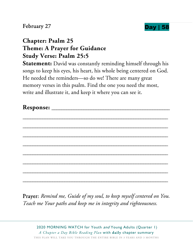### February 27 **Day | 58**



## **Chapter: Psalm 25 Theme: A Prayer for Guidance Study Verse: Psalm 25:5**

**Statement:** David was constantly reminding himself through his songs to keep his eyes, his heart, his whole being centered on God. He needed the reminders—so do we! There are many great memory verses in this psalm. Find the one you need the most, write and illustrate it, and keep it where you can see it.

Prayer: *Remind me, Guide of my soul, to keep myself centered on You. Teach me Your paths and keep me in integrity and righteousness.*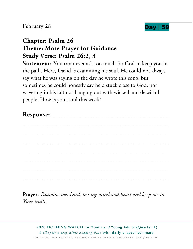

# **Chapter: Psalm 26 Theme: More Prayer for Guidance Study Verse: Psalm 26:2, 3**

**Statement:** You can never ask too much for God to keep you in the path. Here, David is examining his soul. He could not always say what he was saying on the day he wrote this song, but sometimes he could honestly say he'd stuck close to God, not wavering in his faith or hanging out with wicked and deceitful people. How is your soul this week?

Prayer: *Examine me, Lord, test my mind and heart and keep me in Your truth.*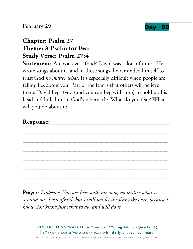### February 29 **Day | 60**



## **Chapter: Psalm 27 Theme: A Psalm for Fear Study Verse: Psalm 27:4**

**Statement:** Are you ever afraid? David was—lots of times. He wrote songs about it, and in those songs, he reminded himself to trust God *no matter what*. It's especially difficult when people are telling lies about you. Part of the fear is that others will believe them. David begs God (and you can beg with him) to hold up his head and hide him in God's tabernacle. What do you fear? What will you do about it?

\_\_\_\_\_\_\_\_\_\_\_\_\_\_\_\_\_\_\_\_\_\_\_\_\_\_\_\_\_\_\_\_\_\_\_\_\_\_\_\_\_\_\_\_\_\_\_\_\_\_\_\_\_\_\_\_\_\_\_

\_\_\_\_\_\_\_\_\_\_\_\_\_\_\_\_\_\_\_\_\_\_\_\_\_\_\_\_\_\_\_\_\_\_\_\_\_\_\_\_\_\_\_\_\_\_\_\_\_\_\_\_\_\_\_\_\_\_\_

Prayer: *Protector, You are here with me now, no matter what is around me. I am afraid, but I will not let the fear take over, because I know You know just what to do, and will do it.*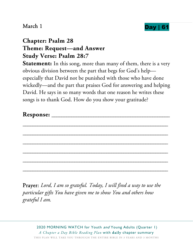

## **Chapter: Psalm 28 Theme: Request—and Answer Study Verse: Psalm 28:7**

**Statement:** In this song, more than many of them, there is a very obvious division between the part that begs for God's help especially that David not be punished with those who have done wickedly—and the part that praises God for answering and helping David. He says in so many words that one reason he writes these songs is to thank God. How do you show your gratitude?

| Response: |  |
|-----------|--|
|-----------|--|

\_\_\_\_\_\_\_\_\_\_\_\_\_\_\_\_\_\_\_\_\_\_\_\_\_\_\_\_\_\_\_\_\_\_\_\_\_\_\_\_\_\_\_\_\_\_\_\_\_\_\_\_\_\_\_\_\_\_\_

\_\_\_\_\_\_\_\_\_\_\_\_\_\_\_\_\_\_\_\_\_\_\_\_\_\_\_\_\_\_\_\_\_\_\_\_\_\_\_\_\_\_\_\_\_\_\_\_\_\_\_\_\_\_\_\_\_\_\_

\_\_\_\_\_\_\_\_\_\_\_\_\_\_\_\_\_\_\_\_\_\_\_\_\_\_\_\_\_\_\_\_\_\_\_\_\_\_\_\_\_\_\_\_\_\_\_\_\_\_\_\_\_\_\_\_\_\_\_

\_\_\_\_\_\_\_\_\_\_\_\_\_\_\_\_\_\_\_\_\_\_\_\_\_\_\_\_\_\_\_\_\_\_\_\_\_\_\_\_\_\_\_\_\_\_\_\_\_\_\_\_\_\_\_\_\_\_\_

\_\_\_\_\_\_\_\_\_\_\_\_\_\_\_\_\_\_\_\_\_\_\_\_\_\_\_\_\_\_\_\_\_\_\_\_\_\_\_\_\_\_\_\_\_\_\_\_\_\_\_\_\_\_\_\_\_\_\_

\_\_\_\_\_\_\_\_\_\_\_\_\_\_\_\_\_\_\_\_\_\_\_\_\_\_\_\_\_\_\_\_\_\_\_\_\_\_\_\_\_\_\_\_\_\_\_\_\_\_\_\_\_\_\_\_\_\_\_

Prayer: *Lord, I am so grateful. Today, I will find a way to use the particular gifts You have given me to show You and others how grateful I am.*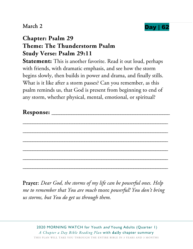

## **Chapter: Psalm 29 Theme: The Thunderstorm Psalm Study Verse: Psalm 29:11**

**Statement:** This is another favorite. Read it out loud, perhaps with friends, with dramatic emphasis, and see how the storm begins slowly, then builds in power and drama, and finally stills. What is it like after a storm passes? Can you remember, as this psalm reminds us, that God is present from beginning to end of any storm, whether physical, mental, emotional, or spiritual?

Prayer: *Dear God, the storms of my life can be powerful ones. Help me to remember that You are much* more *powerful! You don't bring us storms, but You do get us through them.*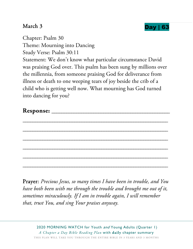

Chapter: Psalm 30 Theme: Mourning into Dancing Study Verse: Psalm 30:11 Statement: We don't know what particular circumstance David was praising God over. This psalm has been sung by millions over the millennia, from someone praising God for deliverance from illness or death to one weeping tears of joy beside the crib of a child who is getting well now. What mourning has God turned into dancing for you?

Prayer: *Precious Jesus, so many times I have been in trouble, and You have both been with me through the trouble and brought me out of it, sometimes miraculously. If I am in trouble again, I will remember that, trust You, and sing Your praises anyway.*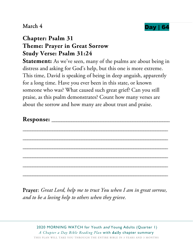

## **Chapter: Psalm 31 Theme: Prayer in Great Sorrow Study Verse: Psalm 31:24**

**Statement:** As we've seen, many of the psalms are about being in distress and asking for God's help, but this one is more extreme. This time, David is speaking of being in deep anguish, apparently for a long time. Have you ever been in this state, or known someone who was? What caused such great grief? Can you still praise, as this psalm demonstrates? Count how many verses are about the sorrow and how many are about trust and praise.

\_\_\_\_\_\_\_\_\_\_\_\_\_\_\_\_\_\_\_\_\_\_\_\_\_\_\_\_\_\_\_\_\_\_\_\_\_\_\_\_\_\_\_\_\_\_\_\_\_\_\_\_\_\_\_\_\_\_\_

\_\_\_\_\_\_\_\_\_\_\_\_\_\_\_\_\_\_\_\_\_\_\_\_\_\_\_\_\_\_\_\_\_\_\_\_\_\_\_\_\_\_\_\_\_\_\_\_\_\_\_\_\_\_\_\_\_\_\_

\_\_\_\_\_\_\_\_\_\_\_\_\_\_\_\_\_\_\_\_\_\_\_\_\_\_\_\_\_\_\_\_\_\_\_\_\_\_\_\_\_\_\_\_\_\_\_\_\_\_\_\_\_\_\_\_\_\_\_

\_\_\_\_\_\_\_\_\_\_\_\_\_\_\_\_\_\_\_\_\_\_\_\_\_\_\_\_\_\_\_\_\_\_\_\_\_\_\_\_\_\_\_\_\_\_\_\_\_\_\_\_\_\_\_\_\_\_\_

\_\_\_\_\_\_\_\_\_\_\_\_\_\_\_\_\_\_\_\_\_\_\_\_\_\_\_\_\_\_\_\_\_\_\_\_\_\_\_\_\_\_\_\_\_\_\_\_\_\_\_\_\_\_\_\_\_\_\_

\_\_\_\_\_\_\_\_\_\_\_\_\_\_\_\_\_\_\_\_\_\_\_\_\_\_\_\_\_\_\_\_\_\_\_\_\_\_\_\_\_\_\_\_\_\_\_\_\_\_\_\_\_\_\_\_\_\_\_

Prayer: *Great Lord, help me to trust You when I am in great sorrow, and to be a loving help to others when they grieve.*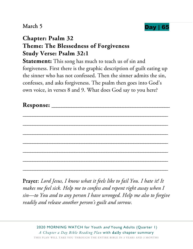

## **Chapter: Psalm 32 Theme: The Blessedness of Forgiveness Study Verse: Psalm 32:1**

**Statement:** This song has much to teach us of sin and forgiveness. First there is the graphic description of guilt eating up the sinner who has not confessed. Then the sinner admits the sin, confesses, and asks forgiveness. The psalm then goes into God's own voice, in verses 8 and 9. What does God say to you here?

Prayer: *Lord Jesus, I know what it feels like to fail You. I hate it! It makes me feel sick. Help me to confess and repent right away when I sin—to You and to any person I have wronged. Help me also to forgive readily and release another person's guilt and sorrow.*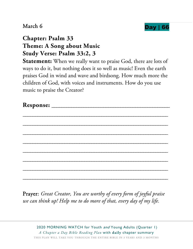

## **Chapter: Psalm 33 Theme: A Song about Music Study Verse: Psalm 33:2, 3**

**Statement:** When we really want to praise God, there are lots of ways to do it, but nothing does it so well as music! Even the earth praises God in wind and wave and birdsong. How much more the children of God, with voices and instruments. How do you use music to praise the Creator?

Prayer: *Great Creator, You are worthy of every form of joyful praise we can think up! Help me to do more of that, every day of my life.*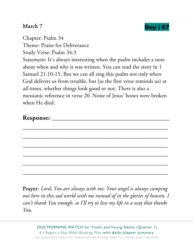

Chapter: Psalm 34

Theme: Praise for Deliverance

Study Verse: Psalm 34:3

Statement: It's always interesting when the psalm includes a note about when and why it was written. You can read the story in 1 Samuel 21:10-15. But we can all sing this psalm not only when God delivers us from trouble, but (as the first verse reminds us) at *all* times, whether things look good or not. There is also a messianic reference in verse 20. None of Jesus' bones were broken when He died.

| Response: |  |
|-----------|--|
|-----------|--|

\_\_\_\_\_\_\_\_\_\_\_\_\_\_\_\_\_\_\_\_\_\_\_\_\_\_\_\_\_\_\_\_\_\_\_\_\_\_\_\_\_\_\_\_\_\_\_\_\_\_\_\_\_\_\_\_\_\_\_

\_\_\_\_\_\_\_\_\_\_\_\_\_\_\_\_\_\_\_\_\_\_\_\_\_\_\_\_\_\_\_\_\_\_\_\_\_\_\_\_\_\_\_\_\_\_\_\_\_\_\_\_\_\_\_\_\_\_\_

\_\_\_\_\_\_\_\_\_\_\_\_\_\_\_\_\_\_\_\_\_\_\_\_\_\_\_\_\_\_\_\_\_\_\_\_\_\_\_\_\_\_\_\_\_\_\_\_\_\_\_\_\_\_\_\_\_\_\_

\_\_\_\_\_\_\_\_\_\_\_\_\_\_\_\_\_\_\_\_\_\_\_\_\_\_\_\_\_\_\_\_\_\_\_\_\_\_\_\_\_\_\_\_\_\_\_\_\_\_\_\_\_\_\_\_\_\_\_

\_\_\_\_\_\_\_\_\_\_\_\_\_\_\_\_\_\_\_\_\_\_\_\_\_\_\_\_\_\_\_\_\_\_\_\_\_\_\_\_\_\_\_\_\_\_\_\_\_\_\_\_\_\_\_\_\_\_\_

\_\_\_\_\_\_\_\_\_\_\_\_\_\_\_\_\_\_\_\_\_\_\_\_\_\_\_\_\_\_\_\_\_\_\_\_\_\_\_\_\_\_\_\_\_\_\_\_\_\_\_\_\_\_\_\_\_\_\_

Prayer: *Lord, You are always with me; Your angel is always camping out here in this sad world with me instead of in the glories of heaven. I can't thank You enough, so I'll try to live my life in a way that thanks You.*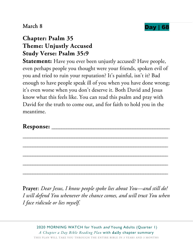

## **Chapter: Psalm 35 Theme: Unjustly Accused Study Verse: Psalm 35:9**

**Statement:** Have you ever been unjustly accused? Have people, even perhaps people you thought were your friends, spoken evil of you and tried to ruin your reputation? It's painful, isn't it? Bad enough to have people speak ill of you when you have done wrong; it's even worse when you don't deserve it. Both David and Jesus know what this feels like. You can read this psalm and pray with David for the truth to come out, and for faith to hold you in the meantime.

\_\_\_\_\_\_\_\_\_\_\_\_\_\_\_\_\_\_\_\_\_\_\_\_\_\_\_\_\_\_\_\_\_\_\_\_\_\_\_\_\_\_\_\_\_\_\_\_\_\_\_\_\_\_\_\_\_\_\_

\_\_\_\_\_\_\_\_\_\_\_\_\_\_\_\_\_\_\_\_\_\_\_\_\_\_\_\_\_\_\_\_\_\_\_\_\_\_\_\_\_\_\_\_\_\_\_\_\_\_\_\_\_\_\_\_\_\_\_

\_\_\_\_\_\_\_\_\_\_\_\_\_\_\_\_\_\_\_\_\_\_\_\_\_\_\_\_\_\_\_\_\_\_\_\_\_\_\_\_\_\_\_\_\_\_\_\_\_\_\_\_\_\_\_\_\_\_\_

\_\_\_\_\_\_\_\_\_\_\_\_\_\_\_\_\_\_\_\_\_\_\_\_\_\_\_\_\_\_\_\_\_\_\_\_\_\_\_\_\_\_\_\_\_\_\_\_\_\_\_\_\_\_\_\_\_\_\_

\_\_\_\_\_\_\_\_\_\_\_\_\_\_\_\_\_\_\_\_\_\_\_\_\_\_\_\_\_\_\_\_\_\_\_\_\_\_\_\_\_\_\_\_\_\_\_\_\_\_\_\_\_\_\_\_\_\_\_

#### **Response:** \_\_\_\_\_\_\_\_\_\_\_\_\_\_\_\_\_\_\_\_\_\_\_\_\_\_\_\_\_\_\_\_\_\_\_\_\_\_\_\_\_\_\_\_\_\_\_\_

Prayer: *Dear Jesus, I know people spoke lies about You—and still do! I will defend You whenever the chance comes, and will trust You when I face ridicule or lies myself.*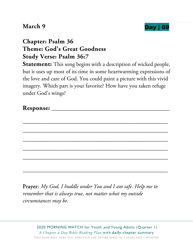

# **Chapter: Psalm 36 Theme: God's Great Goodness Study Verse: Psalm 36:7**

**Statement:** This song begins with a description of wicked people, but it uses up most of its time in some heartwarming expressions of the love and care of God. You could paint a picture with this vivid imagery. Which part is your favorite? How have you taken refuge under God's wings?

Prayer: *My God, I huddle under You and I am safe. Help me to remember that is always true, not matter what my outside circumstances may be.*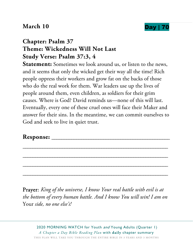## **March 10 Day | 70**



# **Chapter: Psalm 37 Theme: Wickedness Will Not Last Study Verse: Psalm 37:3, 4**

**Statement:** Sometimes we look around us, or listen to the news, and it seems that only the wicked get their way all the time! Rich people oppress their workers and grow fat on the backs of those who do the real work for them. War leaders use up the lives of people around them, even children, as soldiers for their grim causes. Where is God? David reminds us—none of this will last. Eventually, every one of these cruel ones will face their Maker and answer for their sins. In the meantime, we can commit ourselves to God and seek to live in quiet trust.

## **Response:** \_\_\_\_\_\_\_\_\_\_\_\_\_\_\_\_\_\_\_\_\_\_\_\_\_\_\_\_\_\_\_\_\_\_\_\_\_\_\_\_\_\_\_\_\_\_\_\_

Prayer: *King of the universe, I know Your real battle with evil is at the bottom of every human battle. And I know You will win! I am on*  Your *side, no one else's!* 

\_\_\_\_\_\_\_\_\_\_\_\_\_\_\_\_\_\_\_\_\_\_\_\_\_\_\_\_\_\_\_\_\_\_\_\_\_\_\_\_\_\_\_\_\_\_\_\_\_\_\_\_\_\_\_\_\_\_\_

\_\_\_\_\_\_\_\_\_\_\_\_\_\_\_\_\_\_\_\_\_\_\_\_\_\_\_\_\_\_\_\_\_\_\_\_\_\_\_\_\_\_\_\_\_\_\_\_\_\_\_\_\_\_\_\_\_\_\_

\_\_\_\_\_\_\_\_\_\_\_\_\_\_\_\_\_\_\_\_\_\_\_\_\_\_\_\_\_\_\_\_\_\_\_\_\_\_\_\_\_\_\_\_\_\_\_\_\_\_\_\_\_\_\_\_\_\_\_

\_\_\_\_\_\_\_\_\_\_\_\_\_\_\_\_\_\_\_\_\_\_\_\_\_\_\_\_\_\_\_\_\_\_\_\_\_\_\_\_\_\_\_\_\_\_\_\_\_\_\_\_\_\_\_\_\_\_\_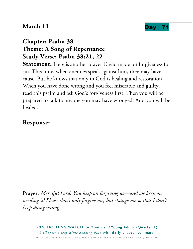## **March 11 Day |**



# **Chapter: Psalm 38 Theme: A Song of Repentance Study Verse: Psalm 38:21, 22**

**Statement:** Here is another prayer David made for forgiveness for sin. This time, when enemies speak against him, they may have cause. But he knows that only in God is healing and restoration. When you have done wrong and you feel miserable and guilty, read this psalm and ask God's forgiveness first. Then you will be prepared to talk to anyone you may have wronged. And you will be healed.

\_\_\_\_\_\_\_\_\_\_\_\_\_\_\_\_\_\_\_\_\_\_\_\_\_\_\_\_\_\_\_\_\_\_\_\_\_\_\_\_\_\_\_\_\_\_\_\_\_\_\_\_\_\_\_\_\_\_\_

\_\_\_\_\_\_\_\_\_\_\_\_\_\_\_\_\_\_\_\_\_\_\_\_\_\_\_\_\_\_\_\_\_\_\_\_\_\_\_\_\_\_\_\_\_\_\_\_\_\_\_\_\_\_\_\_\_\_\_

\_\_\_\_\_\_\_\_\_\_\_\_\_\_\_\_\_\_\_\_\_\_\_\_\_\_\_\_\_\_\_\_\_\_\_\_\_\_\_\_\_\_\_\_\_\_\_\_\_\_\_\_\_\_\_\_\_\_\_

\_\_\_\_\_\_\_\_\_\_\_\_\_\_\_\_\_\_\_\_\_\_\_\_\_\_\_\_\_\_\_\_\_\_\_\_\_\_\_\_\_\_\_\_\_\_\_\_\_\_\_\_\_\_\_\_\_\_\_

\_\_\_\_\_\_\_\_\_\_\_\_\_\_\_\_\_\_\_\_\_\_\_\_\_\_\_\_\_\_\_\_\_\_\_\_\_\_\_\_\_\_\_\_\_\_\_\_\_\_\_\_\_\_\_\_\_\_\_

\_\_\_\_\_\_\_\_\_\_\_\_\_\_\_\_\_\_\_\_\_\_\_\_\_\_\_\_\_\_\_\_\_\_\_\_\_\_\_\_\_\_\_\_\_\_\_\_\_\_\_\_\_\_\_\_\_\_\_

#### **Response:** \_\_\_\_\_\_\_\_\_\_\_\_\_\_\_\_\_\_\_\_\_\_\_\_\_\_\_\_\_\_\_\_\_\_\_\_\_\_\_\_\_\_\_\_\_\_\_\_

Prayer: *Merciful Lord, You keep on forgiving us—and we keep on needing it! Please don't only forgive me, but change me so that I don't keep doing wrong.*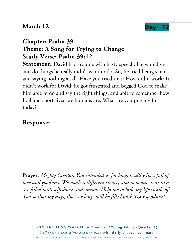### **March 12 Day |**



# **Chapter: Psalm 39 Theme: A Song for Trying to Change Study Verse: Psalm 39:12**

**Statement:** David had trouble with hasty speech. He would say and do things he really didn't want to do. So, he tried being silent and saying nothing at all. Have you tried that? How did it work? It didn't work for David; he got frustrated and begged God to make him able to do and say the right things, and able to remember how frail and short-lived we humans are. What are you praying for today?

\_\_\_\_\_\_\_\_\_\_\_\_\_\_\_\_\_\_\_\_\_\_\_\_\_\_\_\_\_\_\_\_\_\_\_\_\_\_\_\_\_\_\_\_\_\_\_\_\_\_\_\_\_\_\_\_\_\_\_

\_\_\_\_\_\_\_\_\_\_\_\_\_\_\_\_\_\_\_\_\_\_\_\_\_\_\_\_\_\_\_\_\_\_\_\_\_\_\_\_\_\_\_\_\_\_\_\_\_\_\_\_\_\_\_\_\_\_\_

\_\_\_\_\_\_\_\_\_\_\_\_\_\_\_\_\_\_\_\_\_\_\_\_\_\_\_\_\_\_\_\_\_\_\_\_\_\_\_\_\_\_\_\_\_\_\_\_\_\_\_\_\_\_\_\_\_\_\_

\_\_\_\_\_\_\_\_\_\_\_\_\_\_\_\_\_\_\_\_\_\_\_\_\_\_\_\_\_\_\_\_\_\_\_\_\_\_\_\_\_\_\_\_\_\_\_\_\_\_\_\_\_\_\_\_\_\_\_

#### **Response:** \_\_\_\_\_\_\_\_\_\_\_\_\_\_\_\_\_\_\_\_\_\_\_\_\_\_\_\_\_\_\_\_\_\_\_\_\_\_\_\_\_\_\_\_\_\_\_\_

Prayer: *Mighty Creator, You intended us for long, healthy lives full of love and goodness. We made a different choice, and now our short lives are filled with selfishness and sorrow. Help me to hide my life inside of You so that my days, short or long, will be filled with* Your *goodness!*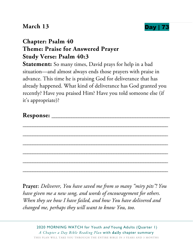### **March 13 Day |**



# **Chapter: Psalm 40 Theme: Praise for Answered Prayer Study Verse: Psalm 40:3**

**Statement:** So many times, David prays for help in a bad situation—and almost always ends those prayers with praise in advance. This time he is praising God for deliverance that has already happened. What kind of deliverance has God granted you recently? Have you praised Him? Have you told someone else (if it's appropriate)?

Prayer: *Deliverer, You have saved me from so many "miry pits"! You have given me a new song, and words of encouragement for others. When they see how I have failed, and how You have delivered and changed me, perhaps they will want to know You, too.*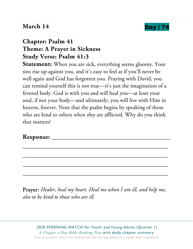### **March 14 Day |**



# **Chapter: Psalm 41 Theme: A Prayer in Sickness Study Verse: Psalm 41:3**

Statement: When you are sick, everything seems gloomy. Your sins rise up against you, and it's easy to feel as if you'll never be well again and God has forgotten you. Praying with David, you can remind yourself this is not true—it's just the imagination of a fevered body. God is with you and will heal you—at least your soul, if not your body—and ultimately, you will live with Him in heaven, forever. Note that the psalm begins by speaking of those who are kind to others when *they* are afflicted. Why do you think that matters?

#### **Response:** \_\_\_\_\_\_\_\_\_\_\_\_\_\_\_\_\_\_\_\_\_\_\_\_\_\_\_\_\_\_\_\_\_\_\_\_\_\_\_\_\_\_\_\_\_\_\_\_

Prayer: *Healer, heal my heart. Heal me when I am ill, and help me, also to be kind to those who are ill.* 

\_\_\_\_\_\_\_\_\_\_\_\_\_\_\_\_\_\_\_\_\_\_\_\_\_\_\_\_\_\_\_\_\_\_\_\_\_\_\_\_\_\_\_\_\_\_\_\_\_\_\_\_\_\_\_\_\_\_\_

\_\_\_\_\_\_\_\_\_\_\_\_\_\_\_\_\_\_\_\_\_\_\_\_\_\_\_\_\_\_\_\_\_\_\_\_\_\_\_\_\_\_\_\_\_\_\_\_\_\_\_\_\_\_\_\_\_\_\_

\_\_\_\_\_\_\_\_\_\_\_\_\_\_\_\_\_\_\_\_\_\_\_\_\_\_\_\_\_\_\_\_\_\_\_\_\_\_\_\_\_\_\_\_\_\_\_\_\_\_\_\_\_\_\_\_\_\_\_

\_\_\_\_\_\_\_\_\_\_\_\_\_\_\_\_\_\_\_\_\_\_\_\_\_\_\_\_\_\_\_\_\_\_\_\_\_\_\_\_\_\_\_\_\_\_\_\_\_\_\_\_\_\_\_\_\_\_\_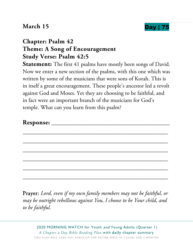### **March 15 Day | 75**



# **Chapter: Psalm 42 Theme: A Song of Encouragement Study Verse: Psalm 42:5**

**Statement:** The first 41 psalms have mostly been songs of David. Now we enter a new section of the psalms, with this one which was written by some of the musicians that were sons of Korah. This is in itself a great encouragement. These people's ancestor led a revolt against God and Moses. Yet they are choosing to be faithful, and in fact were an important branch of the musicians for God's temple. What can you learn from this psalm?

\_\_\_\_\_\_\_\_\_\_\_\_\_\_\_\_\_\_\_\_\_\_\_\_\_\_\_\_\_\_\_\_\_\_\_\_\_\_\_\_\_\_\_\_\_\_\_\_\_\_\_\_\_\_\_\_\_\_\_

\_\_\_\_\_\_\_\_\_\_\_\_\_\_\_\_\_\_\_\_\_\_\_\_\_\_\_\_\_\_\_\_\_\_\_\_\_\_\_\_\_\_\_\_\_\_\_\_\_\_\_\_\_\_\_\_\_\_\_

\_\_\_\_\_\_\_\_\_\_\_\_\_\_\_\_\_\_\_\_\_\_\_\_\_\_\_\_\_\_\_\_\_\_\_\_\_\_\_\_\_\_\_\_\_\_\_\_\_\_\_\_\_\_\_\_\_\_\_

\_\_\_\_\_\_\_\_\_\_\_\_\_\_\_\_\_\_\_\_\_\_\_\_\_\_\_\_\_\_\_\_\_\_\_\_\_\_\_\_\_\_\_\_\_\_\_\_\_\_\_\_\_\_\_\_\_\_\_

\_\_\_\_\_\_\_\_\_\_\_\_\_\_\_\_\_\_\_\_\_\_\_\_\_\_\_\_\_\_\_\_\_\_\_\_\_\_\_\_\_\_\_\_\_\_\_\_\_\_\_\_\_\_\_\_\_\_\_

\_\_\_\_\_\_\_\_\_\_\_\_\_\_\_\_\_\_\_\_\_\_\_\_\_\_\_\_\_\_\_\_\_\_\_\_\_\_\_\_\_\_\_\_\_\_\_\_\_\_\_\_\_\_\_\_\_\_\_

#### **Response:** \_\_\_\_\_\_\_\_\_\_\_\_\_\_\_\_\_\_\_\_\_\_\_\_\_\_\_\_\_\_\_\_\_\_\_\_\_\_\_\_\_\_\_\_\_\_\_\_

Prayer: *Lord, even if my own family members may not be faithful, or may be outright rebellious against You, I choose to be Your child, and to be faithful.*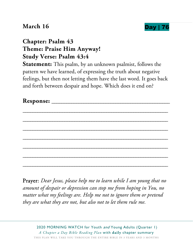### **March 16 Day | 76**



# **Chapter: Psalm 43 Theme: Praise Him Anyway! Study Verse: Psalm 43:4**

**Statement:** This psalm, by an unknown psalmist, follows the pattern we have learned, of expressing the truth about negative feelings, but then not letting them have the last word. It goes back and forth between despair and hope. Which does it end on?

\_\_\_\_\_\_\_\_\_\_\_\_\_\_\_\_\_\_\_\_\_\_\_\_\_\_\_\_\_\_\_\_\_\_\_\_\_\_\_\_\_\_\_\_\_\_\_\_\_\_\_\_\_\_\_\_\_\_\_

\_\_\_\_\_\_\_\_\_\_\_\_\_\_\_\_\_\_\_\_\_\_\_\_\_\_\_\_\_\_\_\_\_\_\_\_\_\_\_\_\_\_\_\_\_\_\_\_\_\_\_\_\_\_\_\_\_\_\_

\_\_\_\_\_\_\_\_\_\_\_\_\_\_\_\_\_\_\_\_\_\_\_\_\_\_\_\_\_\_\_\_\_\_\_\_\_\_\_\_\_\_\_\_\_\_\_\_\_\_\_\_\_\_\_\_\_\_\_

\_\_\_\_\_\_\_\_\_\_\_\_\_\_\_\_\_\_\_\_\_\_\_\_\_\_\_\_\_\_\_\_\_\_\_\_\_\_\_\_\_\_\_\_\_\_\_\_\_\_\_\_\_\_\_\_\_\_\_

\_\_\_\_\_\_\_\_\_\_\_\_\_\_\_\_\_\_\_\_\_\_\_\_\_\_\_\_\_\_\_\_\_\_\_\_\_\_\_\_\_\_\_\_\_\_\_\_\_\_\_\_\_\_\_\_\_\_\_

\_\_\_\_\_\_\_\_\_\_\_\_\_\_\_\_\_\_\_\_\_\_\_\_\_\_\_\_\_\_\_\_\_\_\_\_\_\_\_\_\_\_\_\_\_\_\_\_\_\_\_\_\_\_\_\_\_\_\_

\_\_\_\_\_\_\_\_\_\_\_\_\_\_\_\_\_\_\_\_\_\_\_\_\_\_\_\_\_\_\_\_\_\_\_\_\_\_\_\_\_\_\_\_\_\_\_\_\_\_\_\_\_\_\_\_\_\_\_

**Response:** \_\_\_\_\_\_\_\_\_\_\_\_\_\_\_\_\_\_\_\_\_\_\_\_\_\_\_\_\_\_\_\_\_\_\_\_\_\_\_\_\_\_\_\_\_\_\_\_

Prayer: *Dear Jesus, please help me to learn while I am young that no amount of despair or depression can stop me from hoping in You, no matter what my feelings are. Help me not to ignore them or pretend they are what they are not, but also not to let them rule me.*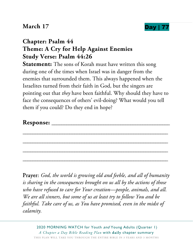### **March 17 Day |**



# **Chapter: Psalm 44 Theme: A Cry for Help Against Enemies Study Verse: Psalm 44:26**

**Statement:** The sons of Korah must have written this song during one of the times when Israel was in danger from the enemies that surrounded them. This always happened when the Israelites turned from their faith in God, but the singers are pointing out that *they* have been faithful. Why should they have to face the consequences of others' evil-doing? What would you tell them if you could? Do they end in hope?

\_\_\_\_\_\_\_\_\_\_\_\_\_\_\_\_\_\_\_\_\_\_\_\_\_\_\_\_\_\_\_\_\_\_\_\_\_\_\_\_\_\_\_\_\_\_\_\_\_\_\_\_\_\_\_\_\_\_\_

\_\_\_\_\_\_\_\_\_\_\_\_\_\_\_\_\_\_\_\_\_\_\_\_\_\_\_\_\_\_\_\_\_\_\_\_\_\_\_\_\_\_\_\_\_\_\_\_\_\_\_\_\_\_\_\_\_\_\_

\_\_\_\_\_\_\_\_\_\_\_\_\_\_\_\_\_\_\_\_\_\_\_\_\_\_\_\_\_\_\_\_\_\_\_\_\_\_\_\_\_\_\_\_\_\_\_\_\_\_\_\_\_\_\_\_\_\_\_

\_\_\_\_\_\_\_\_\_\_\_\_\_\_\_\_\_\_\_\_\_\_\_\_\_\_\_\_\_\_\_\_\_\_\_\_\_\_\_\_\_\_\_\_\_\_\_\_\_\_\_\_\_\_\_\_\_\_\_

#### **Response:** \_\_\_\_\_\_\_\_\_\_\_\_\_\_\_\_\_\_\_\_\_\_\_\_\_\_\_\_\_\_\_\_\_\_\_\_\_\_\_\_\_\_\_\_\_\_\_\_

Prayer: *God, the world is growing old and feeble, and all of humanity is sharing in the consequences brought on us all by the actions of those who have refused to care for Your creation—people, animals, and all. We are all sinners, but some of us at least try to follow You and be faithful. Take care of us, as You have promised, even in the midst of calamity.*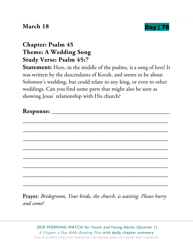#### **March 18 Day | 78**



# **Chapter: Psalm 45 Theme: A Wedding Song Study Verse: Psalm 45:7**

**Statement:** Here, in the middle of the psalms, is a song of love! It was written by the descendants of Korah, and seems to be about Solomon's wedding, but could relate to any king, or even to other weddings. Can you find some parts that might also be seen as showing Jesus' relationship with His church?

Prayer: *Bridegroom, Your bride, the church, is waiting. Please hurry and come!*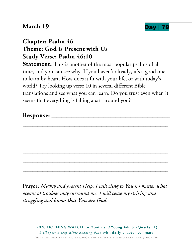#### **March 19 Day** |



# **Chapter: Psalm 46 Theme: God is Present with Us Study Verse: Psalm 46:10**

**Statement:** This is another of the most popular psalms of all time, and you can see why. If you haven't already, it's a good one to learn by heart. How does it fit with your life, or with today's world? Try looking up verse 10 in several different Bible translations and see what you can learn. Do you trust even when it seems that everything is falling apart around you?

| Response: |  |
|-----------|--|
|           |  |

\_\_\_\_\_\_\_\_\_\_\_\_\_\_\_\_\_\_\_\_\_\_\_\_\_\_\_\_\_\_\_\_\_\_\_\_\_\_\_\_\_\_\_\_\_\_\_\_\_\_\_\_\_\_\_\_\_\_\_

\_\_\_\_\_\_\_\_\_\_\_\_\_\_\_\_\_\_\_\_\_\_\_\_\_\_\_\_\_\_\_\_\_\_\_\_\_\_\_\_\_\_\_\_\_\_\_\_\_\_\_\_\_\_\_\_\_\_\_

\_\_\_\_\_\_\_\_\_\_\_\_\_\_\_\_\_\_\_\_\_\_\_\_\_\_\_\_\_\_\_\_\_\_\_\_\_\_\_\_\_\_\_\_\_\_\_\_\_\_\_\_\_\_\_\_\_\_\_

\_\_\_\_\_\_\_\_\_\_\_\_\_\_\_\_\_\_\_\_\_\_\_\_\_\_\_\_\_\_\_\_\_\_\_\_\_\_\_\_\_\_\_\_\_\_\_\_\_\_\_\_\_\_\_\_\_\_\_

\_\_\_\_\_\_\_\_\_\_\_\_\_\_\_\_\_\_\_\_\_\_\_\_\_\_\_\_\_\_\_\_\_\_\_\_\_\_\_\_\_\_\_\_\_\_\_\_\_\_\_\_\_\_\_\_\_\_\_

\_\_\_\_\_\_\_\_\_\_\_\_\_\_\_\_\_\_\_\_\_\_\_\_\_\_\_\_\_\_\_\_\_\_\_\_\_\_\_\_\_\_\_\_\_\_\_\_\_\_\_\_\_\_\_\_\_\_\_

Prayer: *Mighty and present Help, I will cling to You no matter what oceans of troubles may surround me. I will cease my striving and struggling and know that You are God.*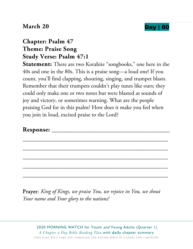



### **Chapter: Psalm 47 Theme: Praise Song Study Verse: Psalm 47:1**

**Statement:** There are two Korahite "songbooks," one here in the 40s and one in the 80s. This is a praise song—a loud one! If you count, you'll find clapping, shouting, singing, and trumpet blasts. Remember that their trumpets couldn't play tunes like ours; they could only make one or two notes but were blasted as sounds of joy and victory, or sometimes warning. What are the people praising God for in this psalm? How does it make you feel when you join in loud, excited praise to the Lord?

\_\_\_\_\_\_\_\_\_\_\_\_\_\_\_\_\_\_\_\_\_\_\_\_\_\_\_\_\_\_\_\_\_\_\_\_\_\_\_\_\_\_\_\_\_\_\_\_\_\_\_\_\_\_\_\_\_\_\_

\_\_\_\_\_\_\_\_\_\_\_\_\_\_\_\_\_\_\_\_\_\_\_\_\_\_\_\_\_\_\_\_\_\_\_\_\_\_\_\_\_\_\_\_\_\_\_\_\_\_\_\_\_\_\_\_\_\_\_

\_\_\_\_\_\_\_\_\_\_\_\_\_\_\_\_\_\_\_\_\_\_\_\_\_\_\_\_\_\_\_\_\_\_\_\_\_\_\_\_\_\_\_\_\_\_\_\_\_\_\_\_\_\_\_\_\_\_\_

\_\_\_\_\_\_\_\_\_\_\_\_\_\_\_\_\_\_\_\_\_\_\_\_\_\_\_\_\_\_\_\_\_\_\_\_\_\_\_\_\_\_\_\_\_\_\_\_\_\_\_\_\_\_\_\_\_\_\_

\_\_\_\_\_\_\_\_\_\_\_\_\_\_\_\_\_\_\_\_\_\_\_\_\_\_\_\_\_\_\_\_\_\_\_\_\_\_\_\_\_\_\_\_\_\_\_\_\_\_\_\_\_\_\_\_\_\_\_

#### **Response:** \_\_\_\_\_\_\_\_\_\_\_\_\_\_\_\_\_\_\_\_\_\_\_\_\_\_\_\_\_\_\_\_\_\_\_\_\_\_\_\_\_\_\_\_\_\_\_\_

Prayer: *King of Kings, we praise You, we rejoice in You, we shout Your name and Your glory to the nations!*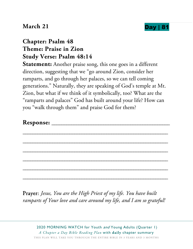### **March 21 Day | 8**



## **Chapter: Psalm 48 Theme: Praise in Zion Study Verse: Psalm 48:14**

**Statement:** Another praise song, this one goes in a different direction, suggesting that we "go around Zion, consider her ramparts, and go through her palaces, so we can tell coming generations." Naturally, they are speaking of God's temple at Mt. Zion, but what if we think of it symbolically, too? What are the "ramparts and palaces" God has built around your life? How can you "walk through them" and praise God for them?

\_\_\_\_\_\_\_\_\_\_\_\_\_\_\_\_\_\_\_\_\_\_\_\_\_\_\_\_\_\_\_\_\_\_\_\_\_\_\_\_\_\_\_\_\_\_\_\_\_\_\_\_\_\_\_\_\_\_\_

\_\_\_\_\_\_\_\_\_\_\_\_\_\_\_\_\_\_\_\_\_\_\_\_\_\_\_\_\_\_\_\_\_\_\_\_\_\_\_\_\_\_\_\_\_\_\_\_\_\_\_\_\_\_\_\_\_\_\_

\_\_\_\_\_\_\_\_\_\_\_\_\_\_\_\_\_\_\_\_\_\_\_\_\_\_\_\_\_\_\_\_\_\_\_\_\_\_\_\_\_\_\_\_\_\_\_\_\_\_\_\_\_\_\_\_\_\_\_

\_\_\_\_\_\_\_\_\_\_\_\_\_\_\_\_\_\_\_\_\_\_\_\_\_\_\_\_\_\_\_\_\_\_\_\_\_\_\_\_\_\_\_\_\_\_\_\_\_\_\_\_\_\_\_\_\_\_\_

\_\_\_\_\_\_\_\_\_\_\_\_\_\_\_\_\_\_\_\_\_\_\_\_\_\_\_\_\_\_\_\_\_\_\_\_\_\_\_\_\_\_\_\_\_\_\_\_\_\_\_\_\_\_\_\_\_\_\_

\_\_\_\_\_\_\_\_\_\_\_\_\_\_\_\_\_\_\_\_\_\_\_\_\_\_\_\_\_\_\_\_\_\_\_\_\_\_\_\_\_\_\_\_\_\_\_\_\_\_\_\_\_\_\_\_\_\_\_

#### **Response:** \_\_\_\_\_\_\_\_\_\_\_\_\_\_\_\_\_\_\_\_\_\_\_\_\_\_\_\_\_\_\_\_\_\_\_\_\_\_\_\_\_\_\_\_\_\_\_\_

Prayer: *Jesus, You are the High Priest of my life. You have built ramparts of Your love and care around my life, and I am so grateful!*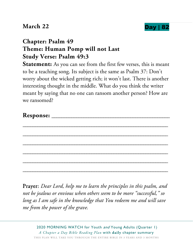### **March 22 Day | 82**



# **Chapter: Psalm 49 Theme: Human Pomp will not Last Study Verse: Psalm 49:3**

**Statement:** As you can see from the first few verses, this is meant to be a teaching song. Its subject is the same as Psalm 37: Don't worry about the wicked getting rich; it won't last. There is another interesting thought in the middle. What do you think the writer meant by saying that no one can ransom another person? How are we ransomed?

| <b>Response: _____________________</b> |  |  |
|----------------------------------------|--|--|
|                                        |  |  |
|                                        |  |  |
|                                        |  |  |
|                                        |  |  |
|                                        |  |  |
|                                        |  |  |
|                                        |  |  |
|                                        |  |  |
|                                        |  |  |

Prayer: *Dear Lord, help me to learn the principles in this psalm, and not be jealous or envious when others seem to be more "successful," so long as I am safe in the knowledge that You redeem me and will save me from the power of the grave.*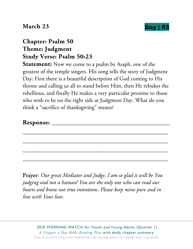#### **March 23 Day | 8**



## **Chapter: Psalm 50 Theme: Judgment Study Verse: Psalm 50:23**

**Statement:** Now we come to a psalm by Asaph, one of the greatest of the temple singers. His song tells the story of Judgment Day: First there is a beautiful description of God coming to His throne and calling us all to stand before Him, then He rebukes the rebellious, and finally He makes a very particular promise to those who wish to be on the right side at Judgment Day. What do you think a "sacrifice of thanksgiving" means?

\_\_\_\_\_\_\_\_\_\_\_\_\_\_\_\_\_\_\_\_\_\_\_\_\_\_\_\_\_\_\_\_\_\_\_\_\_\_\_\_\_\_\_\_\_\_\_\_\_\_\_\_\_\_\_\_\_\_\_

\_\_\_\_\_\_\_\_\_\_\_\_\_\_\_\_\_\_\_\_\_\_\_\_\_\_\_\_\_\_\_\_\_\_\_\_\_\_\_\_\_\_\_\_\_\_\_\_\_\_\_\_\_\_\_\_\_\_\_

\_\_\_\_\_\_\_\_\_\_\_\_\_\_\_\_\_\_\_\_\_\_\_\_\_\_\_\_\_\_\_\_\_\_\_\_\_\_\_\_\_\_\_\_\_\_\_\_\_\_\_\_\_\_\_\_\_\_\_

\_\_\_\_\_\_\_\_\_\_\_\_\_\_\_\_\_\_\_\_\_\_\_\_\_\_\_\_\_\_\_\_\_\_\_\_\_\_\_\_\_\_\_\_\_\_\_\_\_\_\_\_\_\_\_\_\_\_\_

#### **Response:** \_\_\_\_\_\_\_\_\_\_\_\_\_\_\_\_\_\_\_\_\_\_\_\_\_\_\_\_\_\_\_\_\_\_\_\_\_\_\_\_\_\_\_\_\_\_\_\_

Prayer: *Our great Mediator and Judge, I am so glad it will be You judging and not a human! You are the only one who can read our hearts and know our true intentions. Please keep mine pure and in line with Your love.*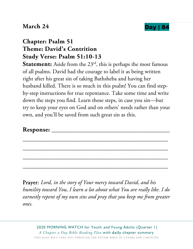### **March 24 Day | 8**



# **Chapter: Psalm 51 Theme: David's Contrition Study Verse: Psalm 51:10-13**

**Statement:** Aside from the 23<sup>rd</sup>, this is perhaps the most famous of all psalms. David had the courage to label it as being written right after his great sin of taking Bathsheba and having her husband killed. There is so much in this psalm! You can find stepby-step instructions for true repentance. Take some time and write down the steps you find. Learn those steps, in case you sin—but try to keep your eyes on God and on others' needs rather than your own, and you'll be saved from such great sin as this.

\_\_\_\_\_\_\_\_\_\_\_\_\_\_\_\_\_\_\_\_\_\_\_\_\_\_\_\_\_\_\_\_\_\_\_\_\_\_\_\_\_\_\_\_\_\_\_\_\_\_\_\_\_\_\_\_\_\_\_

\_\_\_\_\_\_\_\_\_\_\_\_\_\_\_\_\_\_\_\_\_\_\_\_\_\_\_\_\_\_\_\_\_\_\_\_\_\_\_\_\_\_\_\_\_\_\_\_\_\_\_\_\_\_\_\_\_\_\_

\_\_\_\_\_\_\_\_\_\_\_\_\_\_\_\_\_\_\_\_\_\_\_\_\_\_\_\_\_\_\_\_\_\_\_\_\_\_\_\_\_\_\_\_\_\_\_\_\_\_\_\_\_\_\_\_\_\_\_

\_\_\_\_\_\_\_\_\_\_\_\_\_\_\_\_\_\_\_\_\_\_\_\_\_\_\_\_\_\_\_\_\_\_\_\_\_\_\_\_\_\_\_\_\_\_\_\_\_\_\_\_\_\_\_\_\_\_\_

#### Response:

Prayer: *Lord, in the story of Your mercy toward David, and his humility toward You, I learn a lot about what You are really like. I do earnestly repent of my own sins and pray that you keep me from greater ones.*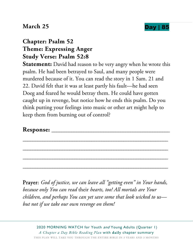### **March 25 Day | 85**



## **Chapter: Psalm 52 Theme: Expressing Anger Study Verse: Psalm 52:8**

**Statement:** David had reason to be very angry when he wrote this psalm. He had been betrayed to Saul, and many people were murdered because of it. You can read the story in 1 Sam. 21 and 22. David felt that it was at least partly his fault—he had seen Doeg and feared he would betray them. He could have gotten caught up in revenge, but notice how he ends this psalm. Do you think putting your feelings into music or other art might help to keep them from burning out of control?

#### Response:

Prayer: *God of justice, we can leave all "getting even" in Your hands, because only You can read* their *hearts, too! All mortals are Your children, and perhaps You can yet save some that look wicked to us but not if we take our own revenge on them!* 

\_\_\_\_\_\_\_\_\_\_\_\_\_\_\_\_\_\_\_\_\_\_\_\_\_\_\_\_\_\_\_\_\_\_\_\_\_\_\_\_\_\_\_\_\_\_\_\_\_\_\_\_\_\_\_\_\_\_\_

\_\_\_\_\_\_\_\_\_\_\_\_\_\_\_\_\_\_\_\_\_\_\_\_\_\_\_\_\_\_\_\_\_\_\_\_\_\_\_\_\_\_\_\_\_\_\_\_\_\_\_\_\_\_\_\_\_\_\_

\_\_\_\_\_\_\_\_\_\_\_\_\_\_\_\_\_\_\_\_\_\_\_\_\_\_\_\_\_\_\_\_\_\_\_\_\_\_\_\_\_\_\_\_\_\_\_\_\_\_\_\_\_\_\_\_\_\_\_

\_\_\_\_\_\_\_\_\_\_\_\_\_\_\_\_\_\_\_\_\_\_\_\_\_\_\_\_\_\_\_\_\_\_\_\_\_\_\_\_\_\_\_\_\_\_\_\_\_\_\_\_\_\_\_\_\_\_\_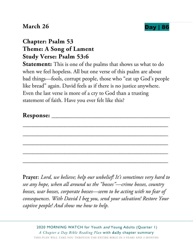### **March 26 Day | 86**



## **Chapter: Psalm 53 Theme: A Song of Lament Study Verse: Psalm 53:6**

**Statement:** This is one of the psalms that shows us what to do when we feel hopeless. All but one verse of this psalm are about bad things—fools, corrupt people, those who "eat up God's people like bread" again. David feels as if there is no justice anywhere. Even the last verse is more of a cry to God than a trusting statement of faith. Have you ever felt like this?

| $\mathbf{r}$<br><b>Response:</b> |  |
|----------------------------------|--|
|----------------------------------|--|

\_\_\_\_\_\_\_\_\_\_\_\_\_\_\_\_\_\_\_\_\_\_\_\_\_\_\_\_\_\_\_\_\_\_\_\_\_\_\_\_\_\_\_\_\_\_\_\_\_\_\_\_\_\_\_\_\_\_\_

\_\_\_\_\_\_\_\_\_\_\_\_\_\_\_\_\_\_\_\_\_\_\_\_\_\_\_\_\_\_\_\_\_\_\_\_\_\_\_\_\_\_\_\_\_\_\_\_\_\_\_\_\_\_\_\_\_\_\_

\_\_\_\_\_\_\_\_\_\_\_\_\_\_\_\_\_\_\_\_\_\_\_\_\_\_\_\_\_\_\_\_\_\_\_\_\_\_\_\_\_\_\_\_\_\_\_\_\_\_\_\_\_\_\_\_\_\_\_

\_\_\_\_\_\_\_\_\_\_\_\_\_\_\_\_\_\_\_\_\_\_\_\_\_\_\_\_\_\_\_\_\_\_\_\_\_\_\_\_\_\_\_\_\_\_\_\_\_\_\_\_\_\_\_\_\_\_\_

\_\_\_\_\_\_\_\_\_\_\_\_\_\_\_\_\_\_\_\_\_\_\_\_\_\_\_\_\_\_\_\_\_\_\_\_\_\_\_\_\_\_\_\_\_\_\_\_\_\_\_\_\_\_\_\_\_\_\_

Prayer: *Lord, we believe; help our unbelief! It's sometimes very hard to see any hope, when all around us the "bosses"—crime bosses, country bosses, war bosses, corporate bosses—seem to be acting with no fear of consequences. With David I beg you, send your salvation! Restore Your captive people! And show me how to help.*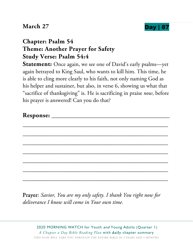### **March 27 Day | 8**



# **Chapter: Psalm 54 Theme: Another Prayer for Safety Study Verse: Psalm 54:4**

**Statement:** Once again, we see one of David's early psalms—yet again betrayed to King Saul, who wants to kill him. This time, he is able to cling more clearly to his faith, not only naming God as his helper and sustainer, but also, in verse 6, showing us what that "sacrifice of thanksgiving" is. He is sacrificing in praise *now*, before his prayer is answered! Can you do that?

| Response: |  |
|-----------|--|
|           |  |

\_\_\_\_\_\_\_\_\_\_\_\_\_\_\_\_\_\_\_\_\_\_\_\_\_\_\_\_\_\_\_\_\_\_\_\_\_\_\_\_\_\_\_\_\_\_\_\_\_\_\_\_\_\_\_\_\_\_\_

\_\_\_\_\_\_\_\_\_\_\_\_\_\_\_\_\_\_\_\_\_\_\_\_\_\_\_\_\_\_\_\_\_\_\_\_\_\_\_\_\_\_\_\_\_\_\_\_\_\_\_\_\_\_\_\_\_\_\_

\_\_\_\_\_\_\_\_\_\_\_\_\_\_\_\_\_\_\_\_\_\_\_\_\_\_\_\_\_\_\_\_\_\_\_\_\_\_\_\_\_\_\_\_\_\_\_\_\_\_\_\_\_\_\_\_\_\_\_

\_\_\_\_\_\_\_\_\_\_\_\_\_\_\_\_\_\_\_\_\_\_\_\_\_\_\_\_\_\_\_\_\_\_\_\_\_\_\_\_\_\_\_\_\_\_\_\_\_\_\_\_\_\_\_\_\_\_\_

\_\_\_\_\_\_\_\_\_\_\_\_\_\_\_\_\_\_\_\_\_\_\_\_\_\_\_\_\_\_\_\_\_\_\_\_\_\_\_\_\_\_\_\_\_\_\_\_\_\_\_\_\_\_\_\_\_\_\_

\_\_\_\_\_\_\_\_\_\_\_\_\_\_\_\_\_\_\_\_\_\_\_\_\_\_\_\_\_\_\_\_\_\_\_\_\_\_\_\_\_\_\_\_\_\_\_\_\_\_\_\_\_\_\_\_\_\_\_

\_\_\_\_\_\_\_\_\_\_\_\_\_\_\_\_\_\_\_\_\_\_\_\_\_\_\_\_\_\_\_\_\_\_\_\_\_\_\_\_\_\_\_\_\_\_\_\_\_\_\_\_\_\_\_\_\_\_\_

Prayer: *Savior, You are my only safety. I thank You right now for deliverance I know will come in Your own time.*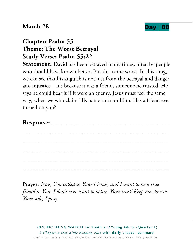#### **March 28 Day | 88**



# **Chapter: Psalm 55 Theme: The Worst Betrayal Study Verse: Psalm 55:22**

**Statement:** David has been betrayed many times, often by people who should have known better. But this is the worst. In this song, we can see that his anguish is not just from the betrayal and danger and injustice—it's because it was a friend, someone he trusted. He says he could bear it if it were an enemy. Jesus must feel the same way, when we who claim His name turn on Him. Has a friend ever turned on you?

\_\_\_\_\_\_\_\_\_\_\_\_\_\_\_\_\_\_\_\_\_\_\_\_\_\_\_\_\_\_\_\_\_\_\_\_\_\_\_\_\_\_\_\_\_\_\_\_\_\_\_\_\_\_\_\_\_\_\_

\_\_\_\_\_\_\_\_\_\_\_\_\_\_\_\_\_\_\_\_\_\_\_\_\_\_\_\_\_\_\_\_\_\_\_\_\_\_\_\_\_\_\_\_\_\_\_\_\_\_\_\_\_\_\_\_\_\_\_

\_\_\_\_\_\_\_\_\_\_\_\_\_\_\_\_\_\_\_\_\_\_\_\_\_\_\_\_\_\_\_\_\_\_\_\_\_\_\_\_\_\_\_\_\_\_\_\_\_\_\_\_\_\_\_\_\_\_\_

\_\_\_\_\_\_\_\_\_\_\_\_\_\_\_\_\_\_\_\_\_\_\_\_\_\_\_\_\_\_\_\_\_\_\_\_\_\_\_\_\_\_\_\_\_\_\_\_\_\_\_\_\_\_\_\_\_\_\_

\_\_\_\_\_\_\_\_\_\_\_\_\_\_\_\_\_\_\_\_\_\_\_\_\_\_\_\_\_\_\_\_\_\_\_\_\_\_\_\_\_\_\_\_\_\_\_\_\_\_\_\_\_\_\_\_\_\_\_

#### **Response:** \_\_\_\_\_\_\_\_\_\_\_\_\_\_\_\_\_\_\_\_\_\_\_\_\_\_\_\_\_\_\_\_\_\_\_\_\_\_\_\_\_\_\_\_\_\_\_\_

Prayer: *Jesus, You called us Your friends, and I want to be a true friend to You. I don't ever want to betray Your trust! Keep me close to Your side, I pray.*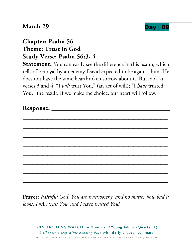#### **March 29 Day | 89**



## **Chapter: Psalm 56 Theme: Trust in God Study Verse: Psalm 56:3, 4**

**Statement:** You can easily see the difference in this psalm, which tells of betrayal by an enemy David expected to be against him. He does not have the same heartbroken sorrow about it. But look at verses 3 and 4: "I *will* trust You," (an act of will); "I *have* trusted You," the result. If we make the choice, our heart will follow.

Prayer: *Faithful God, You are trustworthy, and no matter how bad it looks, I* will *trust You, and I* have *trusted You!*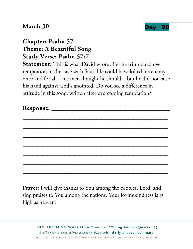#### **March 30 Day | 90**



# **Chapter: Psalm 57 Theme: A Beautiful Song Study Verse: Psalm 57:7**

**Statement:** This is what David wrote after he triumphed over temptation in the cave with Saul. He could have killed his enemy once and for all—his men thought he should—but he did not raise his hand against God's anointed. Do you see a difference in attitude in this song, written after overcoming temptation?

Prayer: I will give thanks to You among the peoples, Lord, and sing praises to You among the nations. Your lovingkindness is as high as heaven!